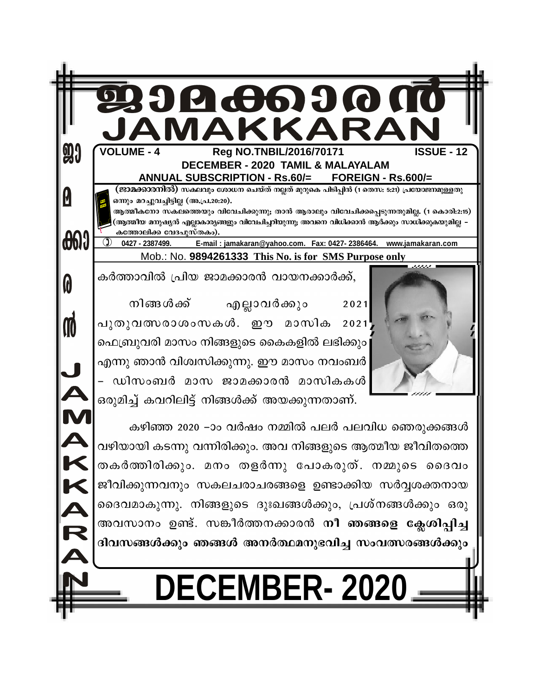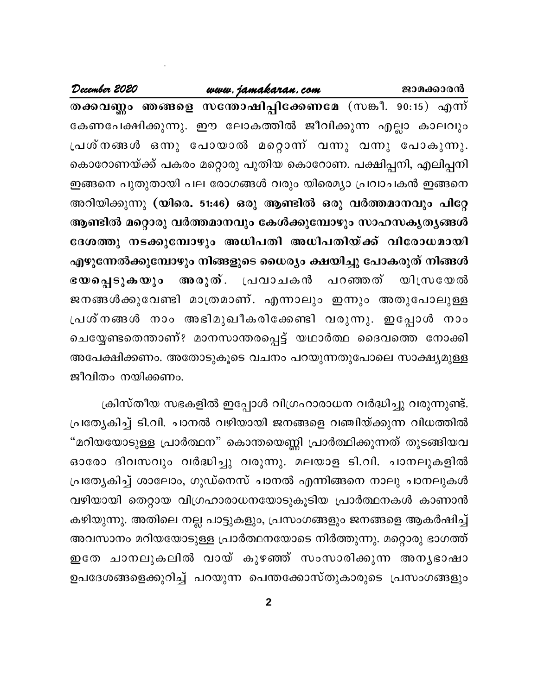## www.jamakaran.com

December 2020

തക്കവണ്ണം ഞങ്ങളെ സന്തോഷിപ്പിക്കേണമേ (സങ്കീ. 90:15) എന്ന് കേണപേക്ഷിക്കുന്നു. ഈ ലോകത്തിൽ ജീവിക്കുന്ന എല്ലാ കാലവും പ്രശ്നങ്ങൾ ഒന്നു പോയാൽ മറ്റൊന്ന് വന്നു വന്നു പോകുന്നു. കൊറോണയ്ക്ക് പകരം മറ്റൊരു പുതിയ കൊറോണ. പക്ഷിപ്പനി, എലിപ്പനി ഇങ്ങനെ പുതുതായി പല രോഗങ്ങൾ വരും യിരെമ്യാ പ്രവാചകൻ ഇങ്ങനെ അറിയിക്കുന്നു (യിരെ. 51:46) ഒരു ആണ്ടിൽ ഒരു വർത്തമാനവും പിറ്റേ ആണ്ടിൽ മറ്റൊരു വർത്തമാനവും കേൾക്കുമ്പോഴും സാഹസകൃതൃങ്ങൾ ദേശത്തു നടക്കുമ്പോഴും അധിപതി അധിപതിയ്ക്ക് വിരോധമായി എഴുന്നേൽക്കുമ്പോഴും നിങ്ങളുടെ ധൈര്യം ക്ഷയിച്ചു പോകരുത് നിങ്ങൾ അരുത്. പ്രവാചകൻ ഭയപ്പെടുകയും പറഞ്ഞത് യിസ്രയേൽ ജനങ്ങൾക്കുവേണ്ടി മാത്രമാണ്. എന്നാലും ഇന്നും അതുപോലുള്ള പ്രശ്നങ്ങൾ നാം അഭിമുഖീകരിക്കേണ്ടി വരുന്നു. ഇപ്പോൾ നാം ചെയ്യേണ്ടതെന്താണ്? മാനസാന്തരപ്പെട്ട് യഥാർത്ഥ ദൈവത്തെ നോക്കി അപേക്ഷിക്കണം. അതോടുകൂടെ വചനം പറയുന്നതുപോലെ സാക്ഷ്യമുള്ള ജീവിതം നയിക്കണം.

ക്രിസ്തീയ സഭകളിൽ ഇപ്പോൾ വിഗ്രഹാരാധന വർദ്ധിച്ചു വരുന്നുണ്ട്. പ്രത്യേകിച്ച് ടി.വി. ചാനൽ വഴിയായി ജനങ്ങളെ വഞ്ചിയ്ക്കുന്ന വിധത്തിൽ "മറിയയോടുള്ള പ്രാർത്ഥന" കൊന്തയെണ്ണി പ്രാർത്ഥിക്കുന്നത് തുടങ്ങിയവ ഓരോ ദിവസവും വർദ്ധിച്ചു വരുന്നു. മലയാള ടി.വി. ചാനലുകളിൽ പ്രത്യേകിച്ച് ശാലോം, ഗുഡ്നെസ് ചാനൽ എന്നിങ്ങനെ നാലു ചാനലുകൾ വഴിയായി തെറ്റായ വിഗ്രഹാരാധനയോടുകൂടിയ പ്രാർത്ഥനകൾ കാണാൻ കഴിയുന്നു. അതിലെ നല്ല പാട്ടുകളും, പ്രസംഗങ്ങളും ജനങ്ങളെ ആകർഷിച്ച് അവസാനം മറിയയോടുള്ള പ്രാർത്ഥനയോടെ നിർത്തുന്നു. മറ്റൊരു ഭാഗത്ത് ഇതേ ചാനലുകലിൽ വായ് കുഴഞ്ഞ് സംസാരിക്കുന്ന അനൃഭാഷാ ഉപദേശങ്ങളെക്കുറിച്ച് പറയുന്ന പെന്തക്കോസ്തുകാരുടെ പ്രസംഗങ്ങളും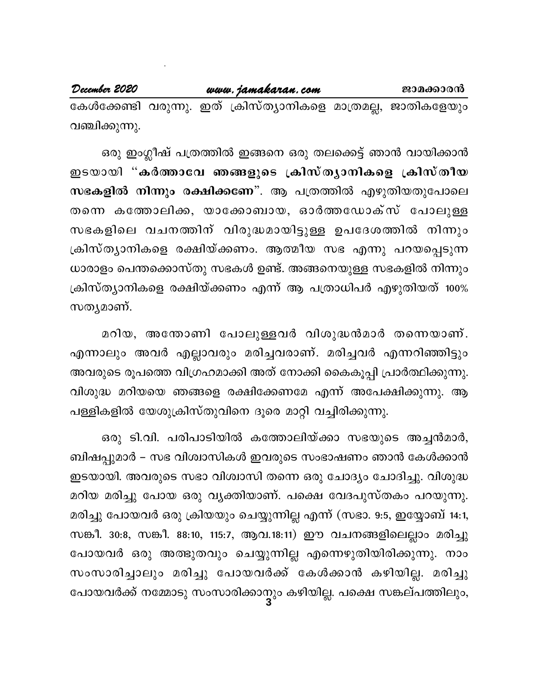കേൾക്കേണ്ടി വരുന്നു. ഇത് ക്രിസ്ത്യാനികളെ മാത്രമല്ല, ജാതികളേയും വഞ്ചിക്കുന്നു.

ജാമക്കാരൻ

ഒരു ഇംഗ്ലീഷ് പത്രത്തിൽ ഇങ്ങനെ ഒരു തലക്കെട്ട് ഞാൻ വായിക്കാൻ ഇടയായി "കർത്താവേ ഞങ്ങളുടെ ക്രിസ്ത്യാനികളെ ക്രിസ്തീയ സഭകളിൽ നിന്നും രക്ഷിക്കണേ". ആ പത്രത്തിൽ എഴുതിയതുപോലെ തന്നെ കത്തോലിക്ക, യാക്കോബായ, ഓർത്തഡോക്സ് പോലുള്ള സഭകളിലെ വചനത്തിന് വിരുദ്ധമായിട്ടുള്ള ഉപദേശത്തിൽ നിന്നും ക്രിസ്ത്യാനികളെ രക്ഷിയ്ക്കണം. ആത്മീയ സഭ എന്നു പറയപ്പെടുന്ന ധാരാളം പെന്തക്കൊസ്തു സഭകൾ ഉണ്ട്. അങ്ങനെയുള്ള സഭകളിൽ നിന്നും ക്രിസ്ത്യാനികളെ രക്ഷിയ്ക്കണം എന്ന് ആ പത്രാധിപർ എഴുതിയത് 100% സത്യമാണ്.

മറിയ, അന്തോണി പോലുള്ളവർ വിശുദ്ധൻമാർ തന്നെയാണ്. എന്നാലും അവർ എല്ലാവരും മരിച്ചവരാണ്. മരിച്ചവർ എന്നറിഞ്ഞിട്ടും അവരുടെ രൂപത്തെ വിഗ്രഹമാക്കി അത് നോക്കി കൈകൂപ്പി പ്രാർത്ഥിക്കുന്നു. വിശുദ്ധ മറിയയെ ഞങ്ങളെ രക്ഷിക്കേണമേ എന്ന് അപേക്ഷിക്കുന്നു. ആ പള്ളികളിൽ യേശുക്രിസ്തുവിനെ ദൂരെ മാറ്റി വച്ചിരിക്കുന്നു.

ഒരു ടി.വി. പരിപാടിയിൽ കത്തോലിയ്ക്കാ സഭയുടെ അച്ചൻമാർ, ബിഷപ്പുമാർ – സഭ വിശ്വാസികൾ ഇവരുടെ സംഭാഷണം ഞാൻ കേൾക്കാൻ ഇടയായി. അവരുടെ സഭാ വിശ്വാസി തന്നെ ഒരു ചോദ്യം ചോദിച്ചു. വിശുദ്ധ മറിയ മരിച്ചു പോയ ഒരു വൃക്തിയാണ്. പക്ഷെ വേദപുസ്തകം പറയുന്നു. മരിച്ചു പോയവർ ഒരു ക്രിയയും ചെയ്യുന്നില്ല എന്ന് (സഭാ. 9:5, ഇയ്യോബ് 14:1, സങ്കീ. 30:8, സങ്കീ. 88:10, 115:7, ആവ.18:11) ഈ വചനങ്ങളിലെല്ലാം മരിച്ചു പോയവർ ഒരു അത്ഭുതവും ചെയ്യുന്നില്ല എന്നെഴുതിയിരിക്കുന്നു. നാം സംസാരിച്ചാലും മരിച്ചു പോയവർക്ക് കേൾക്കാൻ കഴിയില്ല. മരിച്ചു പോയവർക്ക് നമ്മോടു സംസാരിക്കാനും കഴിയില്ല. പക്ഷെ സങ്കല്പത്തിലും,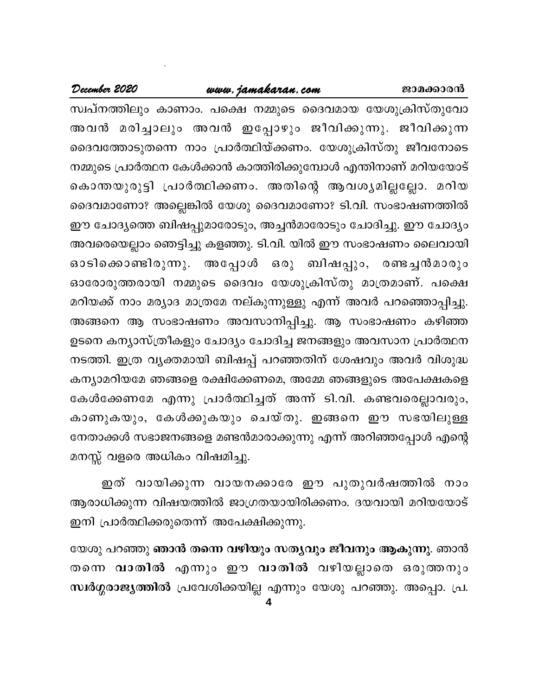## www.jamakaran.com

സ്വപ്നത്തിലും കാണാം. പക്ഷെ നമ്മുടെ ദൈവമായ യേശുക്രിസ്തുവോ അവൻ മരിച്ചാലും അവൻ ഇപ്പോഴും ജീവിക്കുന്നു. ജീവിക്കുന്ന ദൈവത്തോടുതന്നെ നാം പ്രാർത്ഥിയ്ക്കണം. യേശുക്രിസ്തു ജീവനോടെ നമ്മുടെ പ്രാർത്ഥന കേൾക്കാൻ കാത്തിരിക്കുമ്പോൾ എന്തിനാണ് മറിയയോട് കൊന്തയുരുട്ടി പ്രാർത്ഥിക്കണം. അതിന്റെ ആവശ്യമില്ലല്ലോ. മറിയ ദൈവമാണോ? അല്ലെങ്കിൽ യേശു ദൈവമാണോ? ടി.വി. സംഭാഷണത്തിൽ ഈ ചോദ്യത്തെ ബിഷപ്പുമാരോടും, അച്ചൻമാരോടും ചോദിച്ചു. ഈ ചോദ്യം അവരെയെല്ലാം ഞെട്ടിച്ചു കളഞ്ഞു. ടി.വി. യിൽ ഈ സംഭാഷണം ലൈവായി ഒരു ബിഷപ്പും, രണ്ടച്ചൻമാരും ഓടിക്കൊണ്ടിരുന്നു. അപ്പോൾ ഓരോരുത്തരായി നമ്മുടെ ദൈവം യേശുക്രിസ്തു മാത്രമാണ്. പക്ഷെ മറിയക്ക് നാം മര്യാദ മാത്രമേ നല്കുന്നുള്ളു എന്ന് അവർ പറഞ്ഞൊപ്പിച്ചു. അങ്ങനെ ആ സംഭാഷണം അവസാനിപ്പിച്ചു. ആ സംഭാഷണം കഴിഞ്ഞ ഉടനെ കന്യാസ്ത്രീകളും ചോദ്യം ചോദിച്ച ജനങ്ങളും അവസാന പ്രാർത്ഥന നടത്തി. ഇത്ര വൃക്തമായി ബിഷപ്പ് പറഞ്ഞതിന് ശേഷവും അവർ വിശുദ്ധ കന്യാമറിയമേ ഞങ്ങളെ രക്ഷിക്കേണമെ, അമ്മേ ഞങ്ങളുടെ അപേക്ഷകളെ കേൾക്കേണമേ എന്നു പ്രാർത്ഥിച്ചത് അന്ന് ടി.വി. കണ്ടവരെല്ലാവരും, കാണുകയും, കേൾക്കുകയും ചെയ്തു. ഇങ്ങനെ ഈ സഭയിലുള്ള നേതാക്കൾ സഭാജനങ്ങളെ മണ്ടൻമാരാക്കുന്നു എന്ന് അറിഞ്ഞപ്പോൾ എന്റെ മനസ്സ് വളരെ അധികം വിഷമിച്ചു.

ഇത് വായിക്കുന്ന വായനക്കാരേ ഈ പുതുവർഷത്തിൽ നാം ആരാധിക്കുന്ന വിഷയത്തിൽ ജാഗ്രതയായിരിക്കണം. ദയവായി മറിയയോട് ഇനി പ്രാർത്ഥിക്കരുതെന്ന് അപേക്ഷിക്കുന്നു.

യേശു പറഞ്ഞു <mark>ഞാൻ തന്നെ വഴിയും സത്യവും ജീവനും ആകുന്നു</mark>. ഞാൻ തന്നെ വാതിൽ എന്നും ഈ വാതിൽ വഴിയല്ലാതെ ഒരുത്തനും സ്ഥർഗ്ഗരാജ്യത്തിൽ പ്രവേശിക്കയില്ല എന്നും യേശു പറഞ്ഞു. അപ്പൊ. പ്ര.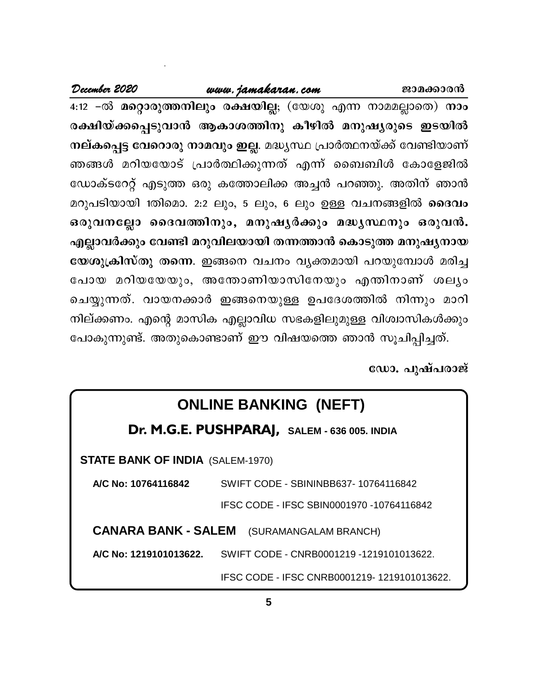## www.jamakaran.com

4:12 -ൽ മറ്റൊരുത്തനിലും രക്ഷയില്ല; (യേശു എന്ന നാമമല്ലാതെ) നാം രക്ഷിയ്ക്കപ്പെടുവാൻ ആകാശത്തിനു കീഴിൽ മനുഷ്യരുടെ ഇടയിൽ നല്കപ്പെട്ട വേറൊരു നാമവും ഇല്ല. മദ്ധ്യസ്ഥ പ്രാർത്ഥനയ്ക്ക് വേണ്ടിയാണ് ഞങ്ങൾ മറിയയോട് പ്രാർത്ഥിക്കുന്നത് എന്ന് ബൈബിൾ കോളേജിൽ ഡോക്ടറേറ്റ് എടുത്ത ഒരു കത്തോലിക്ക അച്ചൻ പറഞ്ഞു. അതിന് ഞാൻ മറുപടിയായി 1തിമൊ. 2:2 ലും, 5 ലും, 6 ലും ഉള്ള വചനങ്ങളിൽ **ദൈവം** ഒരുവനല്ലോ ദൈവത്തിനും, മനുഷൃർക്കും മദ്ധൃസ്ഥനും ഒരുവൻ. എല്ലാവർക്കും വേണ്ടി മറുവിലയായി തന്നത്താൻ കൊടുത്ത മനുഷൃനായ യേശുക്രിസ്തു തന്നെ. ഇങ്ങനെ വചനം വ്യക്തമായി പറയുമ്പോൾ മരിച്ച പോയ മറിയയേയും, അന്തോണിയാസിനേയും എന്തിനാണ് ശല്യം ചെയ്യുന്നത്. വായനക്കാർ ഇങ്ങനെയുള്ള ഉപദേശത്തിൽ നിന്നും മാറി നില്ക്കണം. എന്റെ മാസിക എല്ലാവിധ സഭകളിലുമുള്ള വിശ്വാസികൾക്കും പോകുന്നുണ്ട്. അതുകൊണ്ടാണ് ഈ വിഷയത്തെ ഞാൻ സൂചിപ്പിച്ചത്.

ഡോ. പുഷ്പരാജ്

ജാമക്കാരൻ

## **ONLINE BANKING (NEFT)**

## Dr. M.G.E. PUSHPARAJ, SALEM - 636 005. INDIA

**STATE BANK OF INDIA (SALEM-1970)** 

A/C No: 10764116842 SWIFT CODE - SBININBB637-10764116842 IFSC CODE - IFSC SBIN0001970 -10764116842

**CANARA BANK - SALEM** (SURAMANGALAM BRANCH)

A/C No: 1219101013622. SWIFT CODE - CNRB0001219 -1219101013622.

IFSC CODE - IFSC CNRB0001219-1219101013622.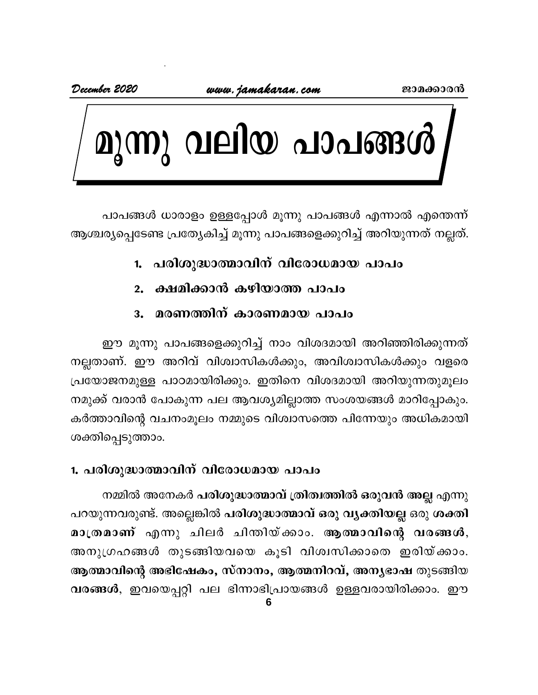December 2020



പാപങ്ങൾ ധാരാളം ഉള്ളപ്പോൾ മൂന്നു പാപങ്ങൾ എന്നാൽ എന്തെന്ന് ആശ്ചര്യപ്പെടേണ്ട പ്രത്യേകിച്ച് മൂന്നു പാപങ്ങളെക്കുറിച്ച് അറിയുന്നത് നല്ലത്.

## 1. പരിശുദ്ധാത്മാവിന് വിരോധമായ പാപം

ക്ഷമിക്കാൻ കഴിയാത്ത പാപം  $2.$ 

#### മരണത്തിന് കാരണമായ പാപം 3.

ഈ മൂന്നു പാപങ്ങളെക്കുറിച്ച് നാം വിശദമായി അറിഞ്ഞിരിക്കുന്നത് നല്ലതാണ്. ഈ അറിവ് വിശ്വാസികൾക്കും, അവിശ്വാസികൾക്കും വളരെ പ്രയോജനമുള്ള പാഠമായിരിക്കും. ഇതിനെ വിശദമായി അറിയുന്നതുമൂലം നമുക്ക് വരാൻ പോകുന്ന പല ആവശ്യമില്ലാത്ത സംശയങ്ങൾ മാറിപ്പോകും. കർത്താവിന്റെ വചനംമൂലം നമ്മുടെ വിശ്വാസത്തെ പിന്നേയും അധികമായി ശക്തിപ്പെടുത്താം.

## 1. പരിശുദ്ധാത്മാവിന് വിരോധമായ പാപം

നമ്മിൽ അനേകർ പരിശുദ്ധാത്മാവ് ത്രിത്വത്തിൽ ഒരുവൻ അല്ല എന്നു പറയുന്നവരുണ്ട്. അല്ലെങ്കിൽ പരിശുദ്ധാത്മാവ് ഒരു വൃക്തിയല്ല ഒരു ശക്തി മാത്രമാണ് എന്നു ചിലർ ചിത്നിയ്ക്കാം. ആത്മാവിന്റെ വരങ്ങൾ, അനുഗ്രഹങ്ങൾ തുടങ്ങിയവയെ കൂടി വിശ്വസിക്കാതെ ഇരിയ്ക്കാം. ആത്മാവിന്റെ അഭിഷേകം, സ്നാനം, ആത്മനിറവ്, അനൃഭാഷ തുടങ്ങിയ വരങ്ങൾ, ഇവയെപ്പറ്റി പല ഭിന്നാഭിപ്രായങ്ങൾ ഉള്ളവരായിരിക്കാം. ഈ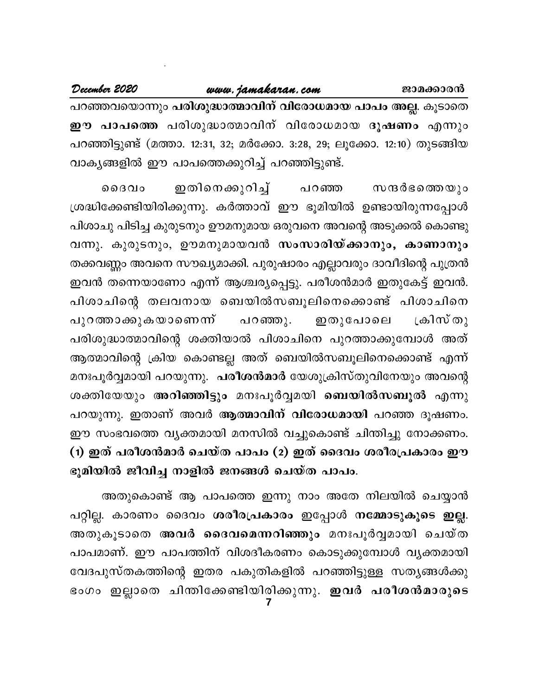പറഞ്ഞവയൊന്നും പരിശുദ്ധാത്മാവിന് വിരോധമായ പാപം അല്ല. കൂടാതെ ഈ പാപത്തെ പരിശുദ്ധാത്മാവിന് വിരോധമായ ദൂഷണം എന്നും പറഞ്ഞിട്ടുണ്ട് (മത്താ. 12:31, 32; മർക്കോ. 3:28, 29; ലൂക്കോ. 12:10) തുടങ്ങിയ വാകൃങ്ങളിൽ ഈ പാപത്തെക്കുറിച്ച് പറഞ്ഞിട്ടുണ്ട്.

ഇതിനെക്കുറിച്ച് ൈദവം പറഞ്ഞ സന്ദർഭത്തെയും ശ്രദ്ധിക്കേണ്ടിയിരിക്കുന്നു. കർത്താവ് ഈ ഭൂമിയിൽ ഉണ്ടായിരുന്നപ്പോൾ പിശാചു പിടിച്ച കുരുടനും ഊമനുമായ ഒരുവനെ അവന്റെ അടുക്കൽ കൊണ്ടു വന്നു. കുരുടനും, ഊമനുമായവൻ സംസാരിയ്ക്കാനും, കാണാനും തക്കവണ്ണം അവനെ സൗഖ്യമാക്കി. പുരുഷാരം എല്ലാവരും ദാവീദിന്റെ പുത്രൻ ഇവൻ തന്നെയാണോ എന്ന് ആശ്ചര്യപ്പെട്ടു. പരീശൻമാർ ഇതുകേട്ട് ഇവൻ. പിശാചിന്റെ തലവനായ ബെയിൽസബൂലിനെക്കൊണ്ട് പിശാചിനെ ക്രിസ്തു പുറത്താക്കുകയാണെന്ന് പറഞ്ഞു. ഇതുപോലെ പരിശുദ്ധാത്മാവിന്റെ ശക്തിയാൽ പിശാചിനെ പുറത്താക്കുമ്പോൾ അത് ആത്മാവിന്റെ ക്രിയ കൊണ്ടല്ല അത് ബെയിൽസബൂലിനെക്കൊണ്ട് എന്ന് മനഃപൂർവ്വമായി പറയുന്നു. പരീശൻമാർ യേശുക്രിസ്തുവിനേയും അവന്റെ ശക്തിയേയും അറിഞ്ഞിട്ടും മനഃപൂർവ്വമയി ബെയിൽസബൂൽ എന്നു പറയുന്നു. ഇതാണ് അവർ ആത്മാവിന് വിരോധമായി പറഞ്ഞ ദൂഷണം. ഈ സംഭവത്തെ വ്യക്തമായി മനസിൽ വച്ചുകൊണ്ട് ചിന്തിച്ചു നോക്കണം. (1) ഇത് പരീശൻമാർ ചെയ്ത പാപം (2) ഇത് ദൈവം ശരീരപ്രകാരം ഈ ഭൂമിയിൽ ജീവിച്ച നാളിൽ ജനങ്ങൾ ചെയ്ത പാപം.

അതുകൊണ്ട് ആ പാപത്തെ ഇന്നു നാം അതേ നിലയിൽ ചെയ്യാൻ പറ്റില്ല. കാരണം ദൈവം ശരീരപ്രകാരം ഇപ്പോൾ നമ്മോടുകൂടെ ഇല്ല. അതുകൂടാതെ അവർ ദൈവമെന്നറിഞ്ഞും മനഃപൂർവ്വമായി ചെയ്ത പാപമാണ്. ഈ പാപത്തിന് വിശദീകരണം കൊടുക്കുമ്പോൾ വൃക്തമായി വേദപുസ്തകത്തിന്റെ ഇതര പകുതികളിൽ പറഞ്ഞിട്ടുള്ള സതൃങ്ങൾക്കു ഭംഗം ഇല്ലാതെ ചിന്തിക്കേണ്ടിയിരിക്കുന്നു. <mark>ഇവർ പരീശൻമാരുടെ</mark>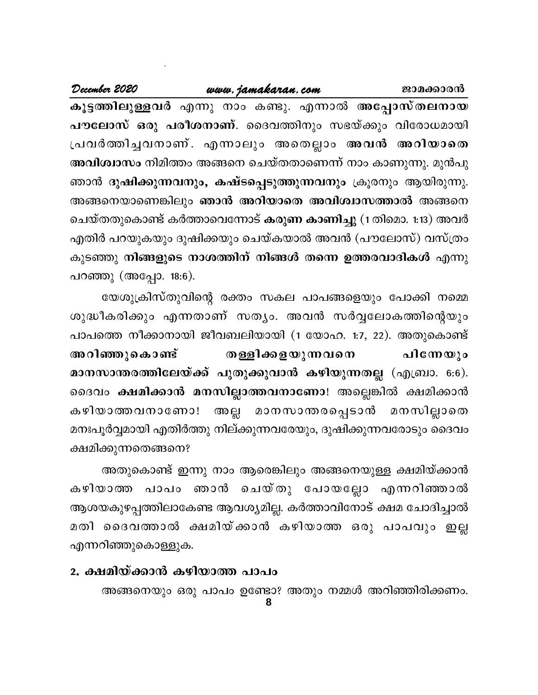## www.jamakaran.com

December 2020

കൂട്ടത്തിലുള്ളവർ എന്നു നാം കണ്ടു. എന്നാൽ അപ്പോസ്തലനായ പൗലോസ് ഒരു പരീശനാണ്. ദൈവത്തിനും സഭയ്ക്കും വിരോധമായി പ്രവർത്തിച്ചവനാണ്. എന്നാലും അതെല്ലാം അവൻ അറിയാതെ അവിശ്വാസം നിമിത്തം അങ്ങനെ ചെയ്തതാണെന്ന് നാം കാണുന്നു. മുൻപു ഞാൻ ദുഷിക്കുന്നവനും, കഷ്ടപ്പെടുത്തുന്നവനും ക്രൂരനും ആയിരുന്നു. അങ്ങനെയാണെങ്കിലും ഞാൻ അറിയാതെ അവിശ്വാസത്താൽ അങ്ങനെ ചെയ്തതുകൊണ്ട് കർത്താവെന്നോട് കരുണ കാണിച്ചു (1 തിമൊ. 1:13) അവർ എതിർ പറയുകയും ദുഷിക്കയും ചെയ്കയാൽ അവൻ (പൗലോസ്) വസ്ത്രം കുടഞ്ഞു നിങ്ങളുടെ നാശത്തിന് നിങ്ങൾ തന്നെ ഉത്തരവാദികൾ എന്നു പറഞ്ഞു (അപ്പോ. 18:6).

യേശുക്രിസ്തുവിന്റെ രക്തം സകല പാപങ്ങളെയും പോക്കി നമ്മെ ശുദ്ധീകരിക്കും എന്നതാണ് സത്യം. അവൻ സർവ്വലോകത്തിന്റെയും പാപത്തെ നീക്കാനായി ജീവബലിയായി (1 യോഹ. 1:7, 22). അതുകൊണ്ട് അറിഞ്ഞുകൊണ്ട് തള്ളിക്കളയുന്നവനെ പിന്നേയും മാനസാന്തരത്തിലേയ്ക്ക് പുതുക്കുവാൻ കഴിയുന്നതല്ല (എബ്രാ. 6:6). ദൈവം ക്ഷമിക്കാൻ മനസില്ലാത്തവനാണോ! അല്ലെങ്കിൽ ക്ഷമിക്കാൻ മനസില്ലാതെ മാനസാന്തരപ്പെടാൻ അല്ല കഴിയാത്തവനാണോ! മനഃപൂർവ്വമായി എതിർത്തു നില്ക്കുന്നവരേയും, ദുഷിക്കുന്നവരോടും ദൈവം ക്ഷമിക്കുന്നതെങ്ങനെ?

അതുകൊണ്ട് ഇന്നു നാം ആരെങ്കിലും അങ്ങനെയുള്ള ക്ഷമിയ്ക്കാൻ കഴിയാത്ത പാപം ഞാൻ ചെയ്തു പോയല്ലോ എന്നറിഞ്ഞാൽ ആശയകുഴപ്പത്തിലാകേണ്ട ആവശ്യമില്ല. കർത്താവിനോട് ക്ഷമ ചോദിച്ചാൽ മതി ദൈവത്താൽ ക്ഷമിയ്ക്കാൻ കഴിയാത്ത ഒരു പാപവും ഇല്ല എന്നറിഞ്ഞുകൊള്ളുക.

## 2. ക്ഷമിയ്ക്കാൻ കഴിയാത്ത പാപം

അങ്ങനെയും ഒരു പാപം ഉണ്ടോ? അതും നമ്മൾ അറിഞ്ഞിരിക്കണം.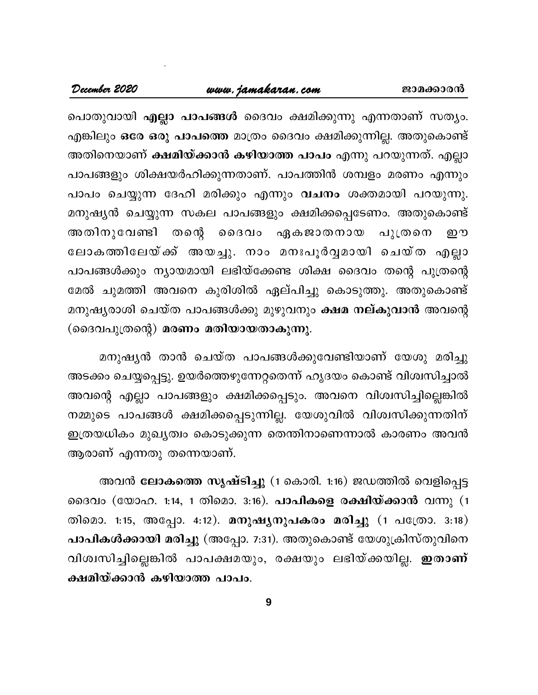## www.jamakaran.com

പൊതുവായി എല്ലാ പാപങ്ങൾ ദൈവം ക്ഷമിക്കുന്നു എന്നതാണ് സത്യം. എങ്കിലും ഒരേ ഒരു പാപത്തെ മാത്രം ദൈവം ക്ഷമിക്കുന്നില്ല. അതുകൊണ്ട് അതിനെയാണ് <mark>ക്ഷമിയ്ക്കാൻ കഴിയാത്ത പാപം</mark> എന്നു പറയുന്നത്. എല്ലാ പാപങ്ങളും ശിക്ഷയർഹിക്കുന്നതാണ്. പാപത്തിൻ ശമ്പളം മരണം എന്നും പാപം ചെയ്യുന്ന ദേഹി മരിക്കും എന്നും വചനം ശക്തമായി പറയുന്നു. മനുഷ്യൻ ചെയ്യുന്ന സകല പാപങ്ങളും ക്ഷമിക്കപ്പെടേണം. അതുകൊണ്ട് തന്റെ ദൈവം ഏകജാതനായ പുത്രനെ അതിനുവേണ്ടി ഈ ലോകത്തിലേയ്ക്ക് അയച്ചു. നാം മനഃപൂർവ്വമായി ചെയ്ത എല്ലാ പാപങ്ങൾക്കും ന്യായമായി ലഭിയ്ക്കേണ്ട ശിക്ഷ ദൈവം തന്റെ പുത്രന്റെ മേൽ ചുമത്തി അവനെ കുരിശിൽ ഏല്പിച്ചു കൊടുത്തു. അതുകൊണ്ട് മനുഷ്യരാശി ചെയ്ത പാപങ്ങൾക്കു മുഴുവനും <mark>ക്ഷമ നല്കുവാൻ</mark> അവന്റെ (ദൈവപുത്രന്റെ) മരണം മതിയായതാകുന്നു.

മനുഷ്യൻ താൻ ചെയ്ത പാപങ്ങൾക്കുവേണ്ടിയാണ് യേശു മരിച്ചു അടക്കം ചെയ്യപ്പെട്ടു. ഉയർത്തെഴുന്നേറ്റതെന്ന് ഹൃദയം കൊണ്ട് വിശ്വസിച്ചാൽ അവന്റെ എല്ലാ പാപങ്ങളും ക്ഷമിക്കപ്പെടും. അവനെ വിശ്വസിച്ചില്ലെങ്കിൽ നമ്മുടെ പാപങ്ങൾ ക്ഷമിക്കപ്പെടുന്നില്ല. യേശുവിൽ വിശ്വസിക്കുന്നതിന് ഇത്രയധികം മുഖ്യത്വം കൊടുക്കുന്ന തെന്തിനാണെന്നാൽ കാരണം അവൻ ആരാണ് എന്നതു തന്നെയാണ്.

അവൻ ലോകത്തെ സൃഷ്ടിച്ചു (1 കൊരി. 1:16) ജഡത്തിൽ വെളിപ്പെട്ട ദൈവം (യോഹ. 1:14, 1 തിമൊ. 3:16). **പാപികളെ രക്ഷിയ്ക്കാ**ൻ വന്നു (1 തിമൊ. 1:15, അപ്പോ. 4:12). മനുഷൃനുപകരം മരിച്ചു (1 പത്രോ. 3:18) പാപികൾക്കായി മരിച്ചു (അപ്പോ. 7:31). അതുകൊണ്ട് യേശുക്രിസ്തുവിനെ വിശ്വസിച്ചില്ലെങ്കിൽ പാപക്ഷമയും, രക്ഷയും ലഭിയ്ക്കയില്ല. **ഇതാണ്** ക്ഷമിയ്ക്കാൻ കഴിയാത്ത പാപം.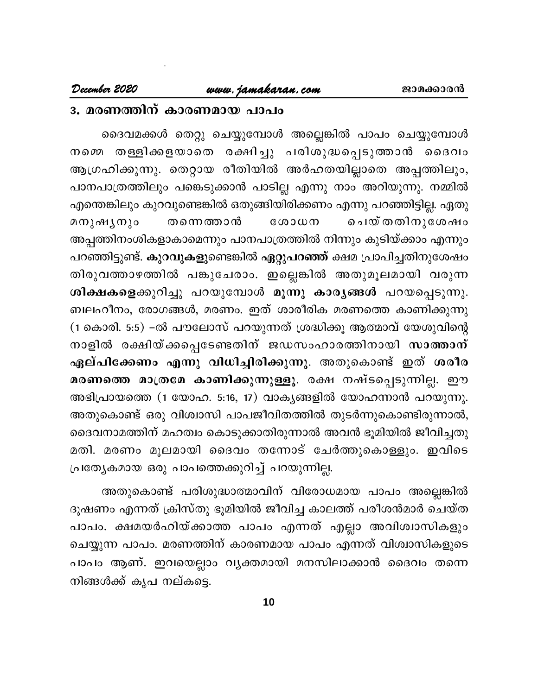## 3. മരണത്തിന് കാരണമായ പാപം

ദൈവമക്കൾ തെറ്റു ചെയ്യുമ്പോൾ അല്ലെങ്കിൽ പാപം ചെയ്യുമ്പോൾ നമ്മെ തള്ളിക്കളയാതെ രക്ഷിച്ചു പരിശുദ്ധപ്പെടുത്താൻ ദൈവം ആഗ്രഹിക്കുന്നു. തെറ്റായ രീതിയിൽ അർഹതയില്ലാതെ അപ്പത്തിലും, പാനപാത്രത്തിലും പങ്കെടുക്കാൻ പാടില്ല എന്നു നാം അറിയുന്നു. നമ്മിൽ എന്തെങ്കിലും കുറവുണ്ടെങ്കിൽ ഒതുങ്ങിയിരിക്കണം എന്നു പറഞ്ഞിട്ടില്ല. ഏതു ചെയ്തതിനുശേഷം മനുഷൃനും തന്നെത്താൻ  $@0000$ അപ്പത്തിനംശികളാകാമെന്നും പാനപാത്രത്തിൽ നിന്നും കുടിയ്ക്കാം എന്നും പറഞ്ഞിട്ടുണ്ട്. <mark>കുറവുകളു</mark>ണ്ടെങ്കിൽ <mark>ഏറ്റുപറഞ്ഞ്</mark> ക്ഷമ പ്രാപിച്ചതിനുശേഷം തിരുവത്താഴത്തിൽ പങ്കുചേരാം. ഇല്ലെങ്കിൽ അതുമൂലമായി വരുന്ന ശിക്ഷകളെക്കുറിച്ചു പറയുമ്പോൾ മൂന്നു കാര്യങ്ങൾ പറയപ്പെടുന്നു. ബലഹീനം, രോഗങ്ങൾ, മരണം. ഇത് ശാരീരിക മരണത്തെ കാണിക്കുന്നു (1 കൊരി. 5:5) –ൽ പൗലോസ് പറയുന്നത് ശ്രദ്ധിക്കൂ ആത്മാവ് യേശുവിന്റെ നാളിൽ രക്ഷിയ്ക്കപ്പെടേണ്ടതിന് ജഡസംഹാരത്തിനായി സാ<mark>ത്താന്</mark> ഏല്പിക്കേണം എന്നു വിധിച്ചിരിക്കുന്നു. അതുകൊണ്ട് ഇത് ശരീര മരണത്തെ മാത്രമേ കാണിക്കുന്നുള്ളൂ. രക്ഷ നഷ്ടപ്പെടുന്നില്ല. ഈ അഭിപ്രായത്തെ (1 യോഹ. 5:16, 17) വാകൃങ്ങളിൽ യോഹന്നാൻ പറയുന്നു. അതുകൊണ്ട് ഒരു വിശ്വാസി പാപജീവിതത്തിൽ തുടർന്നുകൊണ്ടിരുന്നാൽ, ദൈവനാമത്തിന് മഹത്വം കൊടുക്കാതിരുന്നാൽ അവൻ ഭൂമിയിൽ ജീവിച്ചതു മതി. മരണം മൂലമായി ദൈവം തന്നോട് ചേർത്തുകൊള്ളും. ഇവിടെ പ്രത്യേകമായ ഒരു പാപത്തെക്കുറിച്ച് പറയുന്നില്ല.

അതുകൊണ്ട് പരിശുദ്ധാത്മാവിന് വിരോധമായ പാപം അല്ലെങ്കിൽ ദൂഷണം എന്നത് ക്രിസ്തു ഭൂമിയിൽ ജീവിച്ച കാലത്ത് പരീശൻമാർ ചെയ്ത പാപം. ക്ഷമയർഹിയ്ക്കാത്ത പാപം എന്നത് എല്ലാ അവിശ്വാസികളും ചെയ്യുന്ന പാപം. മരണത്തിന് കാരണമായ പാപം എന്നത് വിശ്വാസികളുടെ പാപം ആണ്. ഇവയെല്ലാം വൃക്തമായി മനസിലാക്കാൻ ദൈവം തന്നെ നിങ്ങൾക്ക് കൃപ നല്കട്ടെ.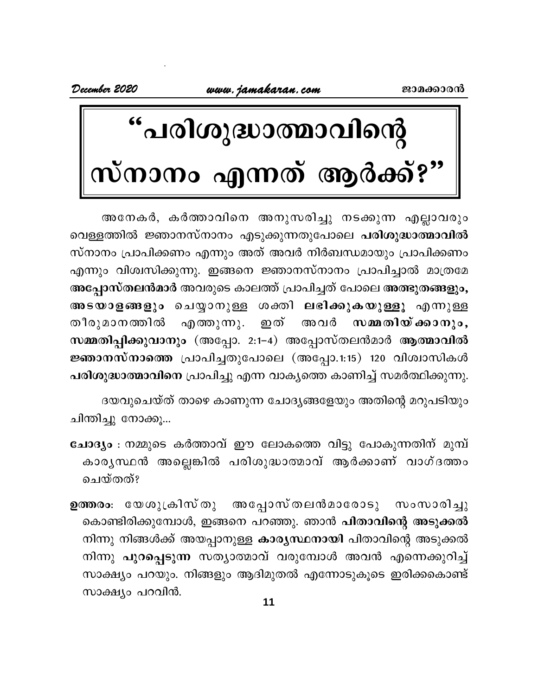# "പരിശുദ്ധാത്മാവിന്റെ<br>സ്നാനം എന്നത് ആർക്ക്?"

അനേകർ, കർത്താവിനെ അനുസരിച്ചു നടക്കുന്ന എല്ലാവരും വെള്ളത്തിൽ ജ്ഞാനസ്നാനം എടുക്കുന്നതുപോലെ പരിശുദ്ധാത്മാവിൽ സ്നാനം പ്രാപിക്കണം എന്നും അത് അവർ നിർബന്ധമായും പ്രാപിക്കണം എന്നും വിശ്വസിക്കുന്നു. ഇങ്ങനെ ജ്ഞാനസ്നാനം പ്രാപിച്ചാൽ മാത്രമേ അപ്പോസ്തലൻമാർ അവരുടെ കാലത്ത് പ്രാപിച്ചത് പോലെ അത്ഭുതങ്ങളും, അടയാളങ്ങളും ചെയ്യാനുള്ള ശക്തി ലഭിക്കുകയുള്ളൂ എന്നുള്ള എത്തുന്നു. ഇത് അവർ സമ്മതിയ്ക്കാനും, തീരുമാനത്തിൽ സമ്മതിപ്പിക്കുവാനും (അപ്പോ. 2:1-4) അപ്പോസ്തലൻമാർ ആത്മാവിൽ ജ്ഞാനസ്നാത്തെ പ്രാപിച്ചതുപോലെ (അപ്പോ.1:15) 120 വിശ്വാസികൾ പരിശുദ്ധാത്മാവിനെ പ്രാപിച്ചു എന്ന വാകൃത്തെ കാണിച്ച് സമർത്ഥിക്കുന്നു.

ദയവുചെയ്ത് താഴെ കാണുന്ന ചോദ്യങ്ങളേയും അതിന്റെ മറുപടിയും ചിന്തിച്ചു നോക്കു...

- ചോദ്യം : നമ്മുടെ കർത്താവ് ഈ ലോകത്തെ വിട്ടു പോകുന്നതിന് മുമ്പ് കാരൃസ്ഥൻ അല്ലെങ്കിൽ പരിശുദ്ധാത്മാവ് ആർക്കാണ് വാഗ്ദത്തം ചെയ്തത്?
- അപ്പോസ്തലൻമാരോടു സംസാരിച്ചു ഉത്തരം։ യേശുക്രിസ്തു കൊണ്ടിരിക്കുമ്പോൾ, ഇങ്ങനെ പറഞ്ഞു. ഞാൻ <mark>പിതാവിന്റെ അടുക്കൽ</mark> നിന്നു നിങ്ങൾക്ക് അയപ്പാനുള്ള കാരൃസ്ഥനായി പിതാവിന്റെ അടുക്കൽ നിന്നു പുറപ്പെടുന്ന സത്യാത്മാവ് വരുമ്പോൾ അവൻ എന്നെക്കുറിച്ച് സാക്ഷ്യം പറയും. നിങ്ങളും ആദിമുതൽ എന്നോടുകൂടെ ഇരിക്കകൊണ്ട് സാക്ഷ്യം പറവിൻ.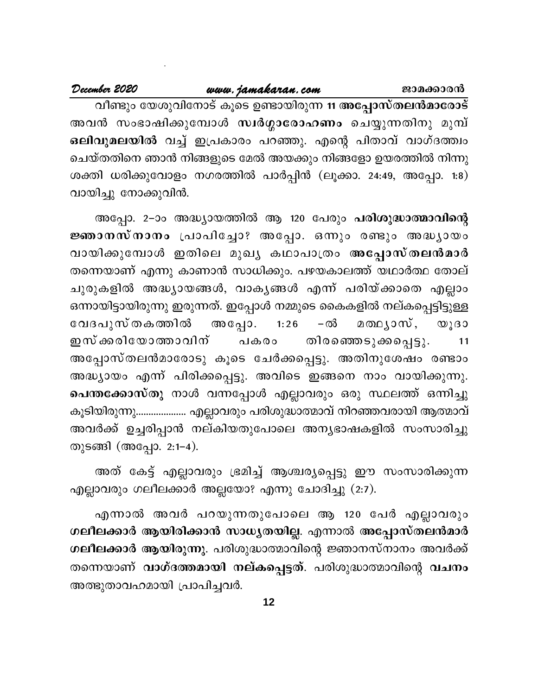വീണ്ടും യേശുവിനോട് കൂടെ ഉണ്ടായിരുന്ന 11 അപ്പോസ്തലൻമാരോട് അവൻ സംഭാഷിക്കുമ്പോൾ സ്ഥർഗ്ഗാരോഹണം ചെയ്യുന്നതിനു മുമ്പ് ഒലിവുമലയിൽ വച്ച് ഇപ്രകാരം പറഞ്ഞു. എന്റെ പിതാവ് വാഗ്ദത്ത്വം ചെയ്തതിനെ ഞാൻ നിങ്ങളുടെ മേൽ അയക്കും നിങ്ങളോ ഉയരത്തിൽ നിന്നു ശക്തി ധരിക്കുവോളം നഗരത്തിൽ പാർപ്പിൻ (ലൂക്കാ. 24:49, അപ്പോ. 1:8) വായിച്ചു നോക്കുവിൻ.

അപ്പോ. 2–ാം അദ്ധ്യായത്തിൽ ആ 120 പേരും പരിശുദ്ധാത്മാവിന്റെ ജ്ഞാനസ്നാനം പ്രാപിച്ചോ? അപ്പോ. ഒന്നും രണ്ടും അദ്ധ്യായം വായിക്കുമ്പോൾ ഇതിലെ മുഖ്യ കഥാപാത്രം അപ്പോസ്തലൻമാർ തന്നെയാണ് എന്നു കാണാൻ സാധിക്കും. പഴയകാലത്ത് യഥാർത്ഥ തോല് ചുരുകളിൽ അദ്ധ്യായങ്ങൾ, വാകൃങ്ങൾ എന്ന് പരിയ്ക്കാതെ എല്ലാം ഒന്നായിട്ടായിരുന്നു ഇരുന്നത്. ഇപ്പോൾ നമ്മുടെ കൈകളിൽ നല്കപ്പെട്ടിട്ടുള്ള അപ്പോ. വേദപുസ് തകത്തിൽ  $1:26$ –ൽ മതഥൃാസ്, യൂദാ ഇസ് ക്കരിയോത്താവിന് തിരഞ്ഞെടുക്കപ്പെട്ടു. പകരം 11 അപ്പോസ്തലൻമാരോടു കൂടെ ചേർക്കപ്പെട്ടു. അതിനുശേഷം രണ്ടാം അദ്ധ്യായം എന്ന് പിരിക്കപ്പെട്ടു. അവിടെ ഇങ്ങനെ നാം വായിക്കുന്നു. പെന്തക്കോസ്തു നാൾ വന്നപ്പോൾ എല്ലാവരും ഒരു സ്ഥലത്ത് ഒന്നിച്ചു കൂടിയിരുന്നു..................... എല്ലാവരും പരിശുദ്ധാത്മാവ് നിറഞ്ഞവരായി ആത്മാവ് അവർക്ക് ഉച്ചരിപ്പാൻ നല്കിയതുപോലെ അന്യഭാഷകളിൽ സംസാരിച്ചു തുടങ്ങി (അപ്പോ. 2:1-4).

അത് കേട്ട് എല്ലാവരും ഭ്രമിച്ച് ആശ്ചര്യപ്പെട്ടു ഈ സംസാരിക്കുന്ന എല്ലാവരും ഗലീലക്കാർ അല്ലയോ? എന്നു ചോദിച്ചു (2:7).

എന്നാൽ അവർ പറയുന്നതുപോലെ ആ 120 പേർ എല്ലാവരും ഗലീലക്കാർ ആയിരിക്കാൻ സാധ്യതയില്ല. എന്നാൽ അപ്പോസ്തലൻമാർ ഗലീലക്കാർ ആയിരുന്നു. പരിശുദ്ധാത്മാവിന്റെ ജ്ഞാനസ്നാനം അവർക്ക് തന്നെയാണ് വാഗ്ദത്തമായി നല്കപ്പെട്ടത്. പരിശുദ്ധാത്മാവിന്റെ വചനം അത്ഭുതാവഹമായി പ്രാപിച്ചവർ.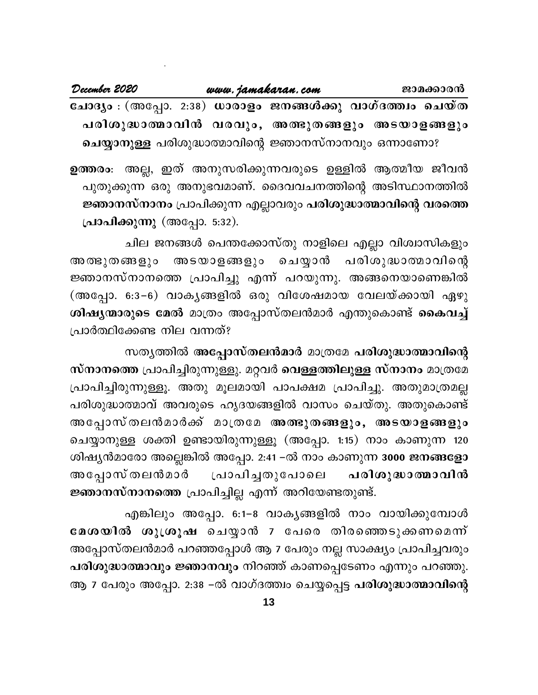| December 2020                                              | www.jamakaran.com |  | ജാമക്കാരൻ |
|------------------------------------------------------------|-------------------|--|-----------|
| ചോദ്യം : (അപ്പോ. 2:38) ധാരാളം ജനങ്ങൾക്കു വാഗ്ദത്ത്വം ചെയ്ത |                   |  |           |
| പരിശുദ്ധാത്മാവിൻ വരവും, അത്ഭുതങ്ങളും അടയാളങ്ങളും           |                   |  |           |
| ചെയ്യാനുള്ള പരിശുദ്ധാത്മാവിന്റെ ജ്ഞാനസ്നാനവും ഒന്നാണോ?     |                   |  |           |

ഉത്തരം: അല്ല, ഇത് അനുസരിക്കുന്നവരുടെ ഉള്ളിൽ ആത്മീയ ജീവൻ പുതുക്കുന്ന ഒരു അനുഭവമാണ്. ദൈവവചനത്തിന്റെ അടിസ്ഥാനത്തിൽ ജ്ഞാനസ്നാനം പ്രാപിക്കുന്ന എല്ലാവരും പരിശുദ്ധാത്മാവിന്റെ വരത്തെ പ്രാപിക്കുന്നു (അപ്പോ. 5:32).

ചില ജനങ്ങൾ പെന്തക്കോസ്തു നാളിലെ എല്ലാ വിശ്വാസികളും അടയാളങ്ങളും ചെയ്യാൻ പരിശുദ്ധാത്മാവിന്റെ അ ത്ഭു തങ്ങളും ജ്ഞാനസ്നാനത്തെ പ്രാപിച്ചു എന്ന് പറയുന്നു. അങ്ങനെയാണെങ്കിൽ (അപ്പോ. 6:3−6) വാകൃങ്ങളിൽ ഒരു വിശേഷമായ വേലയ്ക്കായി ഏഴു ശിഷ്യന്മാരുടെ മേൽ മാത്രം അപ്പോസ്തലൻമാർ എന്തുകൊണ്ട് കൈവച്ച് പ്രാർത്ഥിക്കേണ്ട നില വന്നത്?

സതൃത്തിൽ അപ്പോസ്തലൻമാർ മാത്രമേ പരിശുദ്ധാത്മാവിന്റെ സ്നാനത്തെ പ്രാപിച്ചിരുന്നുള്ളു. മറ്റവർ വെള്ളത്തിലുള്ള സ്നാനം മാത്രമേ പ്രാപിച്ചിരുന്നുള്ളൂ. അതു മൂലമായി പാപക്ഷമ പ്രാപിച്ചു. അതുമാത്രമല്ല പരിശുദ്ധാത്മാവ് അവരുടെ ഹൃദയങ്ങളിൽ വാസം ചെയ്തു. അതുകൊണ്ട് അപ്പോസ്തലൻമാർക്ക് മാത്രമേ അത്ഭുതങ്ങളും, അടയാളങ്ങളും ചെയ്യാനുള്ള ശക്തി ഉണ്ടായിരുന്നുള്ളൂ (അപ്പോ. 1:15) നാം കാണുന്ന 120 ശിഷ്യൻമാരോ അല്ലെങ്കിൽ അപ്പോ. 2:41 −ൽ നാം കാണുന്ന 3000 ജനങ്ങളോ അപ്പോസ് തലൻമാർ പ്രാപിച്ചതുപോലെ പരിശു**ദ്ധാത്മാവി**ൻ ജ്ഞാനസ്നാനത്തെ പ്രാപിച്ചില്ല എന്ന് അറിയേണ്ടതുണ്ട്.

എങ്കിലും അപ്പോ. 6:1–8 വാകൃങ്ങളിൽ നാം വായിക്കുമ്പോൾ മേശയിൽ ശുശ്രൂഷ ചെയ്യാൻ 7 പേരെ തിരഞ്ഞെടുക്കണമെന്ന് അപ്പോസ്തലൻമാർ പറഞ്ഞപ്പോൾ ആ 7 പേരും നല്ല സാക്ഷ്യം പ്രാപിച്ചവരും പരിശുദ്ധാത്മാവും ജ്ഞാനവും നിറഞ്ഞ് കാണപ്പെടേണം എന്നും പറഞ്ഞു. ആ 7 പേരും അപ്പോ. 2:38 −ൽ വാഗ്ദത്ത്വം ചെയ്യപ്പെട്ട പരിശുദ്ധാത്മാവിന്റെ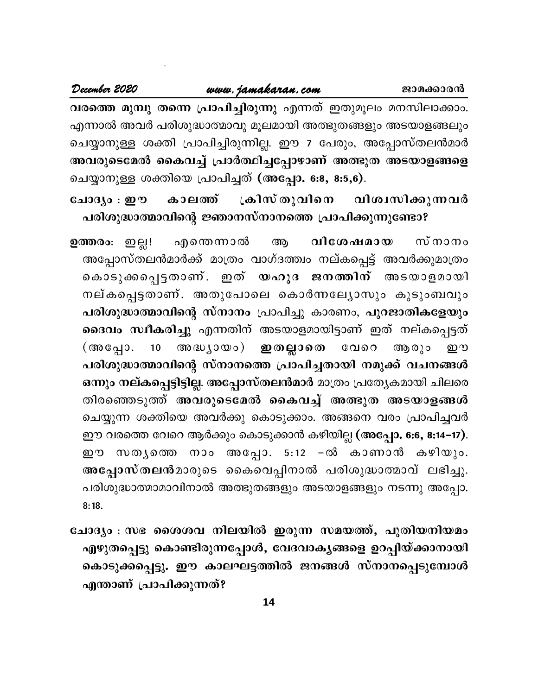## www.jamakaran.com

വരത്തെ മുമ്പു തന്നെ പ്രാപിച്ചിരുന്നു എന്നത് ഇതുമൂലം മനസിലാക്കാം. എന്നാൽ അവർ പരിശുദ്ധാത്മാവു മൂലമായി അത്ഭുതങ്ങളും അടയാളങ്ങലും ചെയ്യാനുള്ള ശക്തി പ്രാപിച്ചിരുന്നില്ല. ഈ 7 പേരും, അപ്പോസ്തലൻമാർ അവരുടെമേൽ കൈവച്ച് പ്രാർത്ഥിച്ചപ്പോഴാണ് അത്ഭുത അടയാളങ്ങളെ ചെയ്യാനുള്ള ശക്തിയെ പ്രാപിച്ചത് (അപ്പോ. 6:8, 8:5,6).

ക്രിസ്തുവിനെ ചോദ്യം : ഈ കാലത്ത് വിശ്വസിക്കുന്നവർ പരിശുദ്ധാത്മാവിന്റെ ജ്ഞാനസ്നാനത്തെ പ്രാപിക്കുന്നുണ്ടോ?

എന്തെന്നാൽ വിശേഷമായ സ്നാനം ഉത്തരം: ഇല്ല! ആ അപ്പോസ്തലൻമാർക്ക് മാത്രം വാഗ്ദത്ത്വം നല്കപ്പെട്ട് അവർക്കുമാത്രം കൊടുക്കപ്പെട്ടതാണ്. ഇത് യഹൂദ ജനത്തിന് അടയാളമായി നല്കപ്പെട്ടതാണ്. അതുപോലെ കൊർന്നല്യോസും കുടുംബവും പരിശുദ്ധാത്മാവിന്റെ സ്നാനം പ്രാപിച്ചു കാരണം, പുറജാതികളേയും ദൈവം സ്ഥീകരിച്ചു എന്നതിന് അടയാളമായിട്ടാണ് ഇത് നല്കപ്പെട്ടത് അദ്ധ്യായം) **ഇതല്ലാതെ** വേറെ ആരും  $10$ (അപ്പോ. று പരിശുദ്ധാത്മാവിന്റെ സ്നാനത്തെ പ്രാപിച്ചതായി നമുക്ക് വചനങ്ങൾ ഒന്നും നല്കപ്പെട്ടിട്ടില്ല. അപ്പോസ്തലൻമാർ മാത്രം പ്രത്യേകമായി ചിലരെ തിരഞ്ഞെടുത്ത് അവരുടെമേൽ കൈവച്ച് അത്ഭുത അടയാളങ്ങൾ ചെയ്യുന്ന ശക്തിയെ അവർക്കു കൊടുക്കാം. അങ്ങനെ വരം പ്രാപിച്ചവർ ഈ വരത്തെ വേറെ ആർക്കും കൊടുക്കാൻ കഴിയില്ല (അപ്പോ. 6:6, 8:14–17). ഈ സതൃത്തെ നാം അപ്പോ. 5:12 –ൽ കാണാൻ കഴിയും. അപ്പോസ്തലൻമാരുടെ കൈവെപ്പിനാൽ പരിശുദ്ധാത്മാവ് ലഭിച്ചു. പരിശുദ്ധാത്മാമാവിനാൽ അത്ഭുതങ്ങളും അടയാളങ്ങളും നടന്നു അപ്പോ.  $8:18.$ 

ചോദ്യം : സഭ ശൈശവ നിലയിൽ ഇരുന്ന സമയത്ത്, പുതിയനിയമം എഴുതപ്പെട്ടു കൊണ്ടിരുന്നപ്പോൾ, വേദവാകൃങ്ങളെ ഉറപ്പിയ്ക്കാനായി കൊടുക്കപ്പെട്ടു. ഈ കാലഘട്ടത്തിൽ ജനങ്ങൾ സ്നാനപ്പെടുമ്പോൾ എന്താണ് പ്രാപിക്കുന്നത്?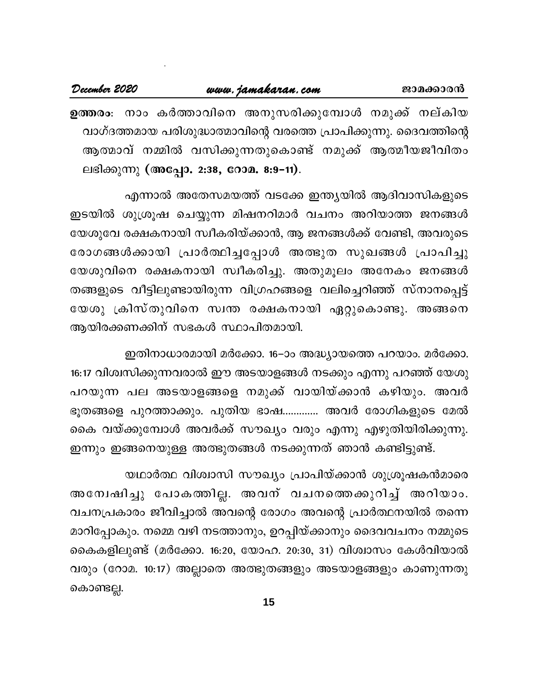## www.jamakaran.com

ഉത്തരം. നാം കർത്താവിനെ അനുസരിക്കുമ്പോൾ നമുക്ക് നല്കിയ വാഗ്ദത്തമായ പരിശുദ്ധാത്മാവിന്റെ വരത്തെ പ്രാപിക്കുന്നു. ദൈവത്തിന്റെ ആത്മാവ് നമ്മിൽ വസിക്കുന്നതുകൊണ്ട് നമുക്ക് ആത്മീയജീവിതം ലഭിക്കുന്നു (അപ്പോ. 2:38, റോമ. 8:9-11).

എന്നാൽ അതേസമയത്ത് വടക്കേ ഇന്ത്യയിൽ ആദിവാസികളുടെ ഇടയിൽ ശുശ്രൂഷ ചെയ്യുന്ന മിഷനറിമാർ വചനം അറിയാത്ത ജനങ്ങൾ യേശുവേ രക്ഷകനായി സ്വീകരിയ്ക്കാൻ, ആ ജനങ്ങൾക്ക് വേണ്ടി, അവരുടെ രോഗങ്ങൾക്കായി പ്രാർത്ഥിച്ചപ്പോൾ അത്ഭുത സുഖങ്ങൾ പ്രാപിച്ചു യേശുവിനെ രക്ഷകനായി സ്വീകരിച്ചു. അതുമൂലം അനേകം ജനങ്ങൾ തങ്ങളുടെ വീട്ടിലുണ്ടായിരുന്ന വിഗ്രഹങ്ങളെ വലിച്ചെറിഞ്ഞ് സ്നാനപ്പെട്ട് യേശു ക്രിസ്തുവിനെ സ്വന്ത രക്ഷകനായി ഏറ്റുകൊണ്ടു. അങ്ങനെ ആയിരക്കണക്കിന് സഭകൾ സ്ഥാപിതമായി.

ഇതിനാധാരമായി മർക്കോ. 16–ാം അദ്ധ്യായത്തെ പറയാം. മർക്കോ. 16:17 വിശ്വസിക്കുന്നവരാൽ ഈ അടയാളങ്ങൾ നടക്കും എന്നു പറഞ്ഞ് യേശു പറയുന്ന പല അടയാളങ്ങളെ നമുക്ക് വായിയ്ക്കാൻ കഴിയും. അവർ ഭൂതങ്ങളെ പുറത്താക്കും. പുതിയ ഭാഷ............. അവർ രോഗികളുടെ മേൽ കൈ വയ്ക്കുമ്പോൾ അവർക്ക് സൗഖ്യം വരും എന്നു എഴുതിയിരിക്കുന്നു. ഇന്നും ഇങ്ങനെയുള്ള അത്ഭുതങ്ങൾ നടക്കുന്നത് ഞാൻ കണ്ടിട്ടുണ്ട്.

യഥാർത്ഥ വിശ്വാസി സൗഖ്യം പ്രാപിയ്ക്കാൻ ശുശ്രൂഷകൻമാരെ അന്വേഷിച്ചു പോകത്തില്ല. അവന് വചനത്തെക്കുറിച്ച് അറിയാം. വചനപ്രകാരം ജീവിച്ചാൽ അവന്റെ രോഗം അവന്റെ പ്രാർത്ഥനയിൽ തന്നെ മാറിപ്പോകും. നമ്മെ വഴി നടത്താനും, ഉറപ്പിയ്ക്കാനും ദൈവവചനം നമ്മുടെ കൈകളിലുണ്ട് (മർക്കോ. 16:20, യോഹ. 20:30, 31) വിശ്വാസം കേൾവിയാൽ വരും (റോമ. 10:17) അല്ലാതെ അത്ഭുതങ്ങളും അടയാളങ്ങളും കാണുന്നതു കൊണ്ടല്ല.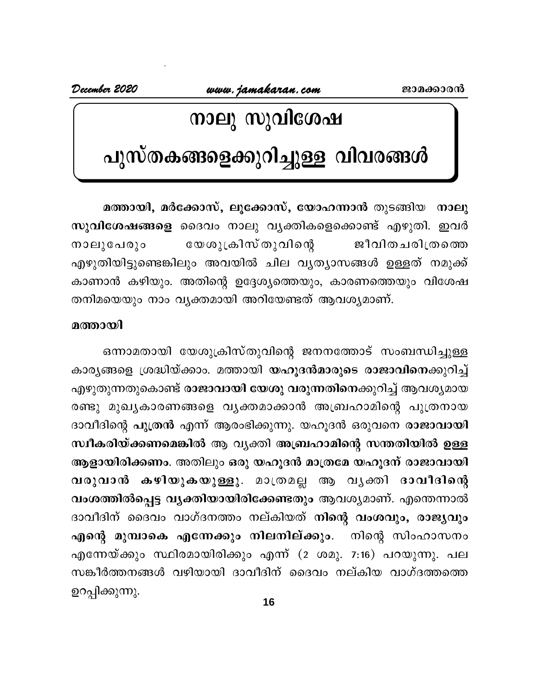December 2020

## നാലു സുവിശേഷ

## പുസ്തകങ്ങളെക്കുറിച്ചുള്ള വിവരങ്ങൾ

മത്തായി, മർക്കോസ്, ലൂക്കോസ്, യോഹന്നാൻ തുടങ്ങിയ നാലു സു<mark>വിശേഷങ്ങളെ</mark> ദൈവം നാലു വൃക്തികളെക്കൊണ്ട് എഴുതി. ഇവർ യേശുക്രിസ് തുവിന്റെ ജീവിതചരിത്രത്തെ നാലുപേരും എഴുതിയിട്ടുണ്ടെങ്കിലും അവയിൽ ചില വൃത്യാസങ്ങൾ ഉള്ളത് നമുക്ക് കാണാൻ കഴിയും. അതിന്റെ ഉദ്ദേശ്യത്തെയും, കാരണത്തെയും വിശേഷ തനിമയെയും നാം വ്യക്തമായി അറിയേണ്ടത് ആവശ്യമാണ്.

## മത്തായി

ഒന്നാമതായി യേശുക്രിസ്തുവിന്റെ ജനനത്തോട് സംബന്ധിച്ചുള്ള കാരൃങ്ങളെ ശ്രദ്ധിയ്ക്കാം. മത്തായി യഹൂദൻമാരുടെ രാജാവിനെക്കുറിച്ച് എഴുതുന്നതുകൊണ്ട് രാജാവായി യേശു വരുന്നതിനെക്കുറിച്ച് ആവശ്യമായ രണ്ടു മുഖ്യകാരണങ്ങളെ വ്യക്തമാക്കാൻ അബ്രഹാമിന്റെ പുത്രനായ ദാവീദിന്റെ പുത്രൻ എന്ന് ആരംഭിക്കുന്നു. യഹൂദൻ ഒരുവനെ രാജാവായി സ്ഥീകരിയ്ക്കണമെങ്കിൽ ആ വ്യക്തി അബ്രഹാമിന്റെ സന്തതിയിൽ ഉള്ള ആളായിരിക്കണം. അതിലും ഒരു യഹൂദൻ മാത്രമേ യഹൂദന് രാജാവായി വരുവാൻ കഴിയുകയുള്ളു. മാത്രമല്ല ആ വൃക്തി ദാവീദിന്റെ വംശത്തിൽപ്പെട്ട വൃക്തിയായിരിക്കേണ്ടതും ആവശ്യമാണ്. എന്തെന്നാൽ ദാവീദിന് ദൈവം വാഗ്ദനത്തം നല്കിയത് നിന്റെ വംശവും, രാജ്യവും എന്റെ മുമ്പാകെ എന്നേക്കും നിലനില്ക്കും. നിന്റെ സിംഹാസനം എന്നേയ്ക്കും സ്ഥിരമായിരിക്കും എന്ന് (2 ശമു. 7:16) പറയുന്നു. പല സങ്കീർത്തനങ്ങൾ വഴിയായി ദാവീദിന് ദൈവം നല്കിയ വാഗ്ദത്തത്തെ ഉറപ്പിക്കുന്നു.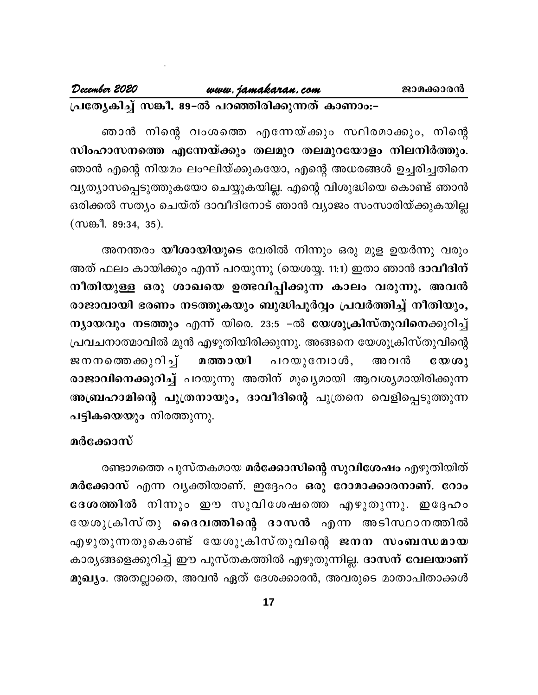**{]tXyIn¨v k¦o. 89-þÂ ]dªncn¡p¶Xv ImWmw:-þ**

Rm³ \nsâ hwis¯ Ft¶b v¡pw Øncam¡pw, \nsâ Rm³ Fsâ \nbaw ewLnbv¡pItbm, Fsâ A[c§Ä D¨cn¨Xns\ സിംഹാസനത്തെ എന്നേയ്ക്കും തലമുറ തലമുറയോളം നിലനിർത്തും. വ്യത്യാസപ്പെടുത്തുകയോ ചെയ്യുകയില്ല. എന്റെ വിശുദ്ധിയെ കൊണ്ട് ഞാൻ ഒരിക്കൽ സത്യം ചെയ്ത് ദാവീദിനോട് ഞാൻ വ്യാജം സംസാരിയ്ക്കുകയില്ല  $(mB. 89:34, 35).$ 

അനന്തരം **യീശായിയുടെ** വേരിൽ നിന്നും ഒരു മുള ഉയർന്നു വരും അത് ഫലം കായിക്കും എന്ന് പറയുന്നു (യെശയ്യ. 11:1) ഇതാ ഞാൻ **ദാവീദിന്** നീതിയുള്ള ഒരു ശാഖയെ ഉത്ഭവിപ്പിക്കുന്ന കാലം വരുന്നു. അവൻ രാജാവായി ഭരണം നടത്തുകയും ബുദ്ധിപൂർവ്വം പ്രവർത്തിച്ച് നീതിയും, **ന്യായവും നടത്തും എന്ന് യിരെ. 23:5 -ൽ യേശുക്രിസ്തുവിനെക്കുറിച്ച്** (പവചനാത്മാവിൽ മുൻ എഴുതിയിരിക്കുന്നു. അങ്ങനെ യേശുക്രിസ്തുവിന്റെ ന്നത്സമുള്ള ഒരു ശാഖയെ ഉരഃവെപ്പിക്കുന്ന കാലാ വരുന്നു. അവര<br>രാജാവായി ഭരണം നടത്തുകയും ബുദ്ധിപൂർവ്വം പ്രവർത്തിച്ച് നീതിയും,<br>ന്യായവും നടത്തും എന്ന് യിരെ. 23:5 –ൽ യേശുക്രിസ്തുവിനെക്കുറിച്ച്<br>പ്രവചനാത്മാവിൽ മുൻ എഴുതിയിരിക്കുന്നു. രാജാവിനെക്കുറിച്ച് പറയുന്നു അതിന് മുഖ്യമായി ആവശ്യമായിരിക്കുന്ന പട്ടികയെയും നിരത്തുന്നു.

## മർക്കോസ്

രണ്ടാമത്തെ പുസ്തകമായ **മർക്കോസിന്റെ സുവിശേഷം** എഴുതിയിത് മർക്കോസ് എന്ന വൃക്തിയാണ്. ഇദ്ദേഹം ഒരു റോമാക്കാരനാണ്. റോം **tZi¯nÂ** \n¶pw Cu kphntijs¯ FgpXp¶p. Ct±lw രണ്ടാമത്തെ പുസ്തകമായ <mark>മർക്കോസിന്റെ സുവിശേഷം</mark> എഴുതിയിത്<br>മർക്കോസ് എന്ന വ്യക്തിയാണ്. ഇദ്ദേഹം ഒരു റോമാക്കാരനാണ്. റോം<br>ദേശത്തിൽ നിന്നും ഈ സുവിശേഷത്തെ എഴുതുന്നു. ഇദ്ദേഹം<br>എഴുതുന്നതുകൊണ്ട് യേശുക്രിസ്തുവിന്റെ ജനന സംബന്ധമായ<br>കാരൃങ്ങള രണ്ടാമത്തെ <del>എസ്തക്കാര് മരക്കോസണ്ടു സുവരാക്കാ എഴുതിയിത്</del><br>മർക്കോസ് എന്ന വൃക്തിയാണ്. ഇദ്ദേഹം ഒരു **റോമാക്കാരനാണ്. റോം**<br>ദേശത്തിൽ നിന്നും ഈ സുവിശേഷത്തെ എഴുതുന്നു. ഇദ്ദേഹം<br>യേശുക്രിസ്തു ദൈവത്തിന്റെ ദാസൻ എന്ന അടിസ്ഥാനത്തിൽ<br>എഴുതുന് കാരൃങ്ങളെക്കുറിച്ച് ഈ പുസ്തകത്തിൽ എഴുതുന്നില്ല. **ദാസന് വേലയാണ് മുഖ്യം**. അതല്ലാതെ, അവൻ ഏത് ദേശക്കാരൻ, അവരുടെ മാതാപിതാക്കൾ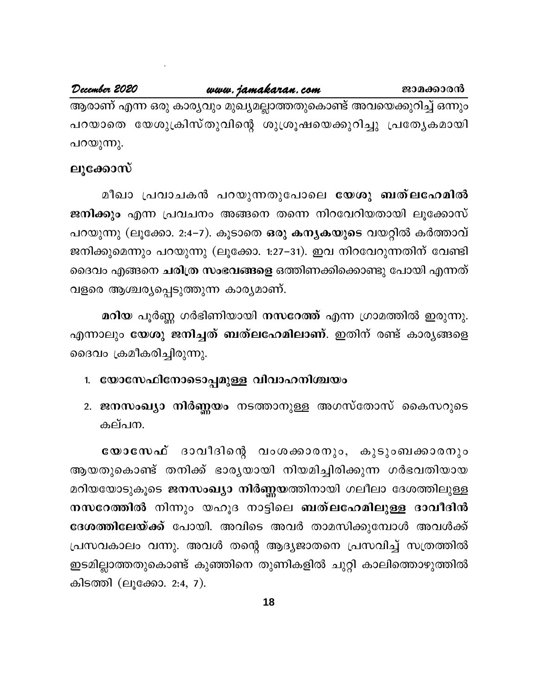## December 2020

## www.jamakaran.com

ജാമക്കാരൻ

ആരാണ് എന്ന ഒരു കാര്യവും മുഖ്യമല്ലാത്തതുകൊണ്ട് അവയെക്കുറിച്ച് ഒന്നും പറയാതെ യേശുക്രിസ്തുവിന്റെ ശുശ്രൂഷയെക്കുറിച്ചു പ്രത്യേകമായി പറയുന്നു.

## ലൂക്കോസ്

മീഖാ പ്രവാചകൻ പറയുന്നതുപോലെ യേശു ബത്ലഹേമിൽ ജനിക്കും എന്ന പ്രവചനം അങ്ങനെ തന്നെ നിറവേറിയതായി ലൂക്കോസ് പറയുന്നു (ലൂക്കോ. 2:4–7). കൂടാതെ ഒരു കന്യകയുടെ വയറ്റിൽ കർത്താവ് ജനിക്കുമെന്നും പറയുന്നു (ലൂക്കോ. 1:27–31). ഇവ നിറവേറുന്നതിന് വേണ്ടി ദൈവം എങ്ങനെ ചരിത്ര സംഭവങ്ങളെ ഒത്തിണക്കിക്കൊണ്ടു പോയി എന്നത് വളരെ ആശ്ചര്യപ്പെടുത്തുന്ന കാര്യമാണ്.

മറിയ പൂർണ്ണ ഗർഭിണിയായി നസറേത്ത് എന്ന ഗ്രാമത്തിൽ ഇരുന്നു. എന്നാലും യേശു ജനിച്ചത് ബത്ലഹേമിലാണ്. ഇതിന് രണ്ട് കാര്യങ്ങളെ ദൈവം ക്രമീകരിച്ചിരുന്നു.

## 1. യോസേഫിനോടൊപ്പമുള്ള വിവാഹനിശ്ചയം

2. ജനസംഖ്യാ നിർണ്ണയം നടത്താനുള്ള അഗസ്തോസ് കൈസറുടെ കല്പന.

യോസേഫ് ദാവീദിന്റെ വംശക്കാരനും, കുടുംബക്കാരനും ആയതുകൊണ്ട് തനിക്ക് ഭാരൃയായി നിയമിച്ചിരിക്കുന്ന ഗർഭവതിയായ മറിയയോടുകൂടെ ജനസംഖ്യാ നിർണ്ണയത്തിനായി ഗലീലാ ദേശത്തിലുള്ള നസറേത്തിൽ നിന്നും യഹൂദ നാട്ടിലെ ബത്ലഹേമിലുള്ള ദാവീദിൻ **ദേശത്തിലേയ്ക്ക്** പോയി. അവിടെ അവർ താമസിക്കുമ്പോൾ അവൾക്ക് പ്രസവകാലം വന്നു. അവൾ തന്റെ ആദ്യജാതനെ പ്രസവിച്ച് സത്രത്തിൽ ഇടമില്ലാത്തതുകൊണ്ട് കുഞ്ഞിനെ തുണികളിൽ ചുറ്റി കാലിത്തൊഴുത്തിൽ കിടത്തി (ലൂക്കോ. 2:4, 7).

18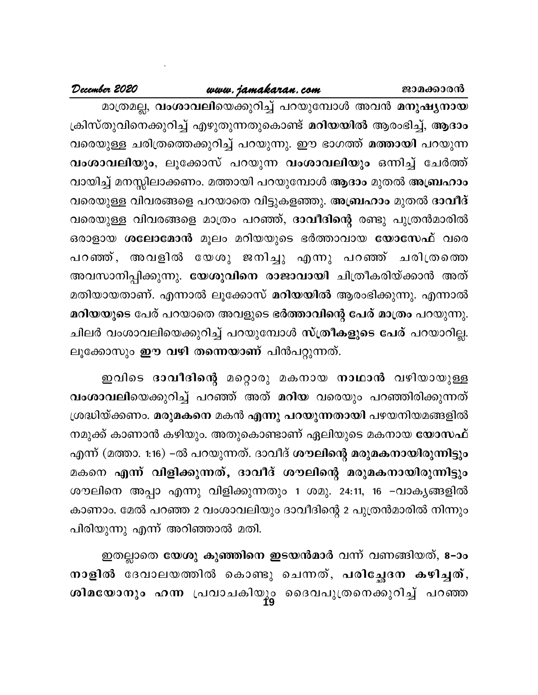## www.jamakaran.com

December 2020

മാത്രമല്ല, വംശാവലിയെക്കുറിച്ച് പറയുമ്പോൾ അവൻ മനുഷൃനായ ക്രിസ്തുവിനെക്കുറിച്ച് എഴുതുന്നതുകൊണ്ട് <mark>മറിയയിൽ</mark> ആരംഭിച്ച്, ആദാം വരെയുള്ള ചരിത്രത്തെക്കുറിച്ച് പറയുന്നു. ഈ ഭാഗത്ത് മത്തായി പറയുന്ന വംശാവലിയും, ലൂക്കോസ് പറയുന്ന വംശാവലിയും ഒന്നിച്ച് ചേർത്ത് വായിച്ച് മനസ്സിലാക്കണം. മത്തായി പറയുമ്പോൾ ആദാം മുതൽ അബ്രഹാം വരെയുള്ള വിവരങ്ങളെ പറയാതെ വിട്ടുകളഞ്ഞു. അബ്രഹാം മുതൽ ദാവീദ് വരെയുള്ള വിവരങ്ങളെ മാത്രം പറഞ്ഞ്, ദാവീദിന്റെ രണ്ടു പുത്രൻമാരിൽ ഒരാളായ ശലോമോൻ മൂലം മറിയയുടെ ഭർത്താവായ യോസേഫ് വരെ പറഞ്ഞ്, അവളിൽ യേശു ജനിച്ചു എന്നു പറഞ്ഞ് ചരിത്രത്തെ അവസാനിപ്പിക്കുന്നു. <mark>യേശുവിനെ രാജാവായി</mark> ചിത്രീകരിയ്ക്കാൻ അത് മതിയായതാണ്. എന്നാൽ ലൂക്കോസ് മറിയയിൽ ആരംഭിക്കുന്നു. എന്നാൽ മറിയയുടെ പേര് പറയാതെ അവളുടെ ഭർത്താവിന്റെ പേര് മാത്രം പറയുന്നു. ചിലർ വംശാവലിയെക്കുറിച്ച് പറയുമ്പോൾ സ്ത്രീകളുടെ പേര് പറയാറില്ല. ലൂക്കോസും ഈ വഴി തന്നെയാണ് പിൻപറ്റുന്നത്.

ഇവിടെ ദാവീദിന്റെ മറ്റൊരു മകനായ നാഥാൻ വഴിയായുള്ള വംശാവലിയെക്കുറിച്ച് പറഞ്ഞ് അത് മറിയ വരെയും പറഞ്ഞിരിക്കുന്നത് ശ്രദ്ധിയ്ക്കണം. മരുമകനെ മകൻ എന്നു പറയുന്നതായി പഴയനിയമങ്ങളിൽ നമുക്ക് കാണാൻ കഴിയും. അതുകൊണ്ടാണ് ഏലിയുടെ മകനായ **യോസഫ്** എന്ന് (മത്താ. 1:16) –ൽ പറയുന്നത്. ദാവീദ് <mark>ശൗലിന്റെ മരുമകനായിരുന്നിട്ടും</mark> മകനെ എന്ന് വിളിക്കുന്നത്, ദാവീദ് ശൗലിന്റെ മരുമകനായിരുന്നിട്ടും ശൗലിനെ അപ്പാ എന്നു വിളിക്കുന്നതും 1 ശമു. 24:11, 16 –വാകൃങ്ങളിൽ കാണാം. മേൽ പറഞ്ഞ 2 വംശാവലിയും ദാവീദിന്റെ 2 പുത്രൻമാരിൽ നിന്നും പിരിയുന്നു എന്ന് അറിഞ്ഞാൽ മതി.

ഇതല്ലാതെ <mark>യേശു കുഞ്ഞിനെ ഇടയൻമാ</mark>ർ വന്ന് വണങ്ങിയത്, 8–ാം നാളിൽ ദേവാലയത്തിൽ കൊണ്ടു ചെന്നത്, പരിച്ഛേദന കഴിച്ചത്, ശിമയോനും ഹന്ന പ്രവാചകിയും ദൈവപുത്രനെക്കുറിച്ച് പറഞ്ഞ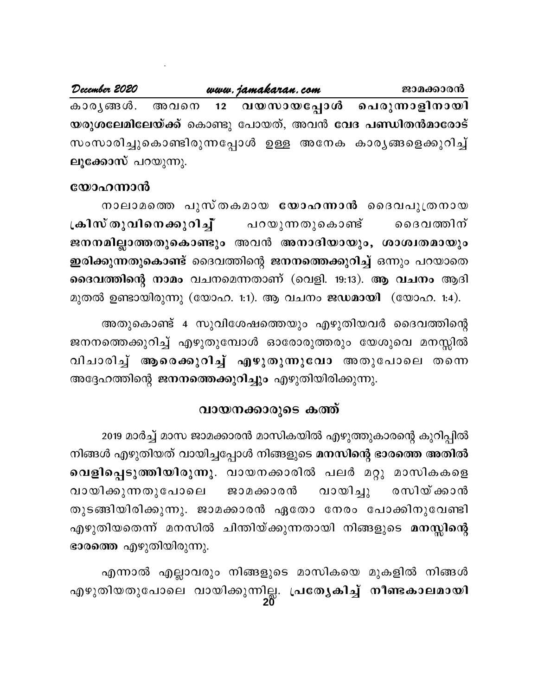$December 2020$  **www.jamakaran.com example 2020** Imcy§Ä. Ahs\ **12 hbkmbt¸mÄ s]cp¶mfn\mbn** യരുശലേമിലേയ്ക്ക് കൊണ്ടു പോയത്, അവൻ വേദ <mark>പണ്ഡിതൻമാരോട്</mark> kwkmcn¨psImncp¶t¸mÄ DÅ At\I Imcy§sf¡pdn¨ v **ലൂക്കോസ്** പറയുന്നു.

## **യോഹന്നാ**ൻ

ാരിച്ചുകൊണ്ടിരുന്നപ്പോൾ ഉള്ള അനേക കാരൃങ്ങളെക്കുറിച്ച്<br><mark>ഹന്നാൻ</mark><br>നാലാമത്തെ പുസ്തകമായ <mark>യോഹന്നാൻ</mark> ദൈവപുത്രനായ<br>ഗ്തുവിനെക്കുറിച്ച് പറയുന്നതുകൊണ്ട് ദൈവത്തിന്<br>മില്ലാത്തതുകൊണ്ടും അവൻ അനാദിയായും, ശാശ്വതമായും **{Ink vXphns\¡pdn¨ v v** ]dbp¶XpsIm v ssZh¯n\ v  $\mathbf{R}$ നനമില്ലാത്തതുകൊണ്ടും അവൻ അനാദിയായും, ശാശ്വതമായും **ഇരിക്കുന്നതുകൊണ്ട്** ദൈവത്തിന്റെ ജനനത്തെക്കുറിച്ച് ഒന്നും പറയാതെ **ദൈവത്തിന്റെ നാമം വചനമെന്നതാണ് (വെളി. 19:13). ആ വചനം ആദി** മുതൽ ഉണ്ടായിരുന്നു (യോഹ. 1:1). ആ വചനം **ജഡമായി** (യോഹ. 1:4). റുന്നതുകൊണ്ട് ദൈവത്തിന്റെ ജനനത്തെക്കുറിച്ച് ഒന്നും പറയാതെ<br>ശ്തിന്റെ നാമം വചനമെന്നതാണ് (വെളി. 19:13). ആ വചനം ആദി<br>3 ഉണ്ടായിരുന്നു (യോഹ. 1:1). ആ വചനം ജഡമായി (യോഹ. 1:4).<br>അതുകൊണ്ട് 4 സുവിശേഷത്തെയും എഴുതിയവർ ദൈവത്തിന്റെ<br>തെക്കുറി

P\\s¯¡pdn¨ v FgpXpt¼mÄ Hmtcmcp¯cpw tbipsh a\ÊnÂ മുതൽ ഉണ്ടായിരുന്നു (യോഹ. 1:1). ആ വചനം **ജഡമായി** (യോഹ. 1:4).<br>അതുകൊണ്ട് 4 സുവിശേഷത്തെയും എഴുതിയവർ ദൈവത്തിന്റെ<br>ജനനത്തെക്കുറിച്ച് എഴുതുമ്പോൾ ഓരോരുത്തരും യേശുവെ മനസ്സിൽ<br>വിചാരിച്ച് ആരെക്കുറിച്ച് എഴുതുന്നുവോ അതുപോലെ തന്നെ<br>അദ്ദേഹത അദ്ദേഹത്തിന്റെ **ജനനത്തെക്കുറിച്ചും** എഴുതിയിരിക്കുന്നു.

## വായനക്കാരുടെ കത്ത്

2019 മാർച്ച് മാസ ജാമക്കാരൻ മാസികയിൽ എഴുത്തുകാരന്റെ കുറിപ്പിൽ നിങ്ങൾ എഴുതിയത് വായിച്ചപ്പോൾ നിങ്ങളുടെ **മനസിന്റെ ഭാരത്തെ അതിൽ** വെളിപ്പെടുത്തിയിരുന്നു. വായനക്കാരിൽ പലർ മറ്റു മാസികകളെ 2019 മാർച്ച് മാസ ജാമക്കാരൻ മാസികയിൽ എഴുത്തുകാരന്റെ കുറിപ്പിൽ<br>നിങ്ങൾ എഴുതിയത് വായിച്ചപ്പോൾ നിങ്ങളുടെ <mark>മനസിന്റെ ഭാരത്തെ അതിൽ</mark><br>വായിക്കുന്നതുപോലെ ജാമക്കാരൻ വായിച്ചു രസിയ്ക്കാൻ<br>തുടങ്ങിയിരിക്കുന്നു. ജാമക്കാരൻ ഏതോ നേരം പോക്കിനുവ തുടങ്ങിയിരിക്കുന്നു. ജാമക്കാരൻ ഏതോ നേരം പോക്കിനുവേണ്ടി വായിക്കുന്നതുപോലെ ജാമക്കാരൻ വായിച്ചു രസിയ്ക്കാൻ<br>തുടങ്ങിയിരിക്കുന്നു. ജാമക്കാരൻ ഏതോ നേരം പോക്കിനുവേണ്ടി<br>എഴുതിയതെന്ന് മനസിൽ ചിന്തിയ്ക്കുന്നതായി നിങ്ങളുടെ <mark>മനസ്സിന്റെ</mark> ഭാരത്തെ എഴുതിയിരുന്നു.

**20** എന്നാൽ എല്ലാവരും നിങ്ങളുടെ മാസികയെ മുകളിൽ നിങ്ങൾ എഴുതിയതെന്ന് മനസിൽ ചിന്തിയ്ക്കുന്നതായി നിങ്ങളുടെ **മനസ്സിന്റെ**<br>ഭാരത്തെ എഴുതിയിരുന്നു.<br>എന്നാൽ എല്ലാവരും നിങ്ങളുടെ മാസികയെ മുകളിൽ നിങ്ങൾ<br>എഴുതിയതുപോലെ വായിക്കുന്നില്ല. പ്രത്യേകിച്ച് നീണ്ടകാലമായി<br>20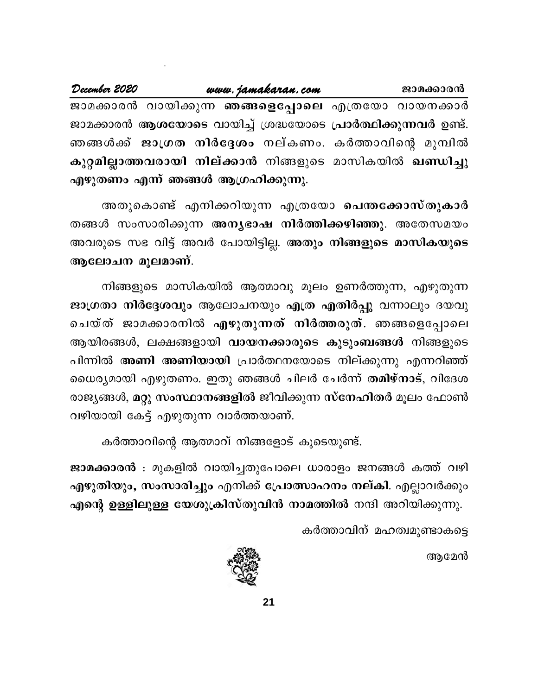| December 2020                                       |  | www.jamakaran.com | ജാമക്കാരൻ                                                      |
|-----------------------------------------------------|--|-------------------|----------------------------------------------------------------|
| ജാമക്കാരൻ വായിക്കുന്ന ഞങ്ങളെപ്പോലെ എത്രയോ വായനക്കാർ |  |                   |                                                                |
|                                                     |  |                   | ജാമക്കാരൻ ആശയോടെ വായിച്ച് ശ്രദ്ധയോടെ പ്രാർത്ഥിക്കുന്നവർ ഉണ്ട്. |
|                                                     |  |                   | ഞങ്ങൾക്ക് ജാഗ്രത നിർദ്ദേശം നല്കണം. കർത്താവിന്റെ മുമ്പിൽ        |
|                                                     |  |                   | കുറ്റമില്ലാത്തവരായി നില്ക്കാൻ നിങ്ങളുടെ മാസികയിൽ ഖണ്ഡിച്ചു     |
| എഴുതണം എന്ന് ഞങ്ങൾ ആഗ്രഹിക്കുന്നു.                  |  |                   |                                                                |

അതുകൊണ്ട് എനിക്കറിയുന്ന എത്രയോ പെന്തക്കോസ്തുകാർ തങ്ങൾ സംസാരിക്കുന്ന അനൃഭാഷ നിർത്തിക്കഴിഞ്ഞു. അതേസമയം അവരുടെ സഭ വിട്ട് അവർ പോയിട്ടില്ല. <mark>അതും നിങ്ങളുടെ മാസികയുടെ</mark> ആലോചന മൂലമാണ്.

നിങ്ങളുടെ മാസികയിൽ ആത്മാവു മൂലം ഉണർത്തുന്ന, എഴുതുന്ന ജാഗ്രതാ നിർദ്ദേശവും ആലോചനയും എത്ര എതിർപ്പു വന്നാലും ദയവു ചെയ്ത് ജാമക്കാരനിൽ എഴുതുന്നത് നിർത്തരുത്. ഞങ്ങളെപ്പോലെ ആയിരങ്ങൾ, ലക്ഷങ്ങളായി <mark>വായനക്കാരുടെ കുടുംബങ്ങൾ</mark> നിങ്ങളുടെ പിന്നിൽ അണി അണിയായി പ്രാർത്ഥനയോടെ നില്ക്കുന്നു എന്നറിഞ്ഞ് ധൈര്യമായി എഴുതണം. ഇതു ഞങ്ങൾ ചിലർ ചേർന്ന് തമിഴ്നാട്, വിദേശ രാജ്യങ്ങൾ, മറ്റു സംസ്ഥാനങ്ങളിൽ ജീവിക്കുന്ന സ്നേഹിതർ മൂലം ഫോൺ വഴിയായി കേട്ട് എഴുതുന്ന വാർത്തയാണ്.

കർത്താവിന്റെ ആത്മാവ് നിങ്ങളോട് കൂടെയുണ്ട്.

ജാമക്കാരൻ : മുകളിൽ വായിച്ചതുപോലെ ധാരാളം ജനങ്ങൾ കത്ത് വഴി എഴുതിയും, സംസാരിച്ചും എനിക്ക് പ്രോത്സാഹനം നല്കി. എല്ലാവർക്കും എന്റെ ഉള്ളിലുള്ള യേശുക്രിസ്തുവിൻ നാമത്തിൽ നന്ദി അറിയിക്കുന്നു.

കർത്താവിന് മഹത്വമുണ്ടാകട്ടെ

ആമേൻ

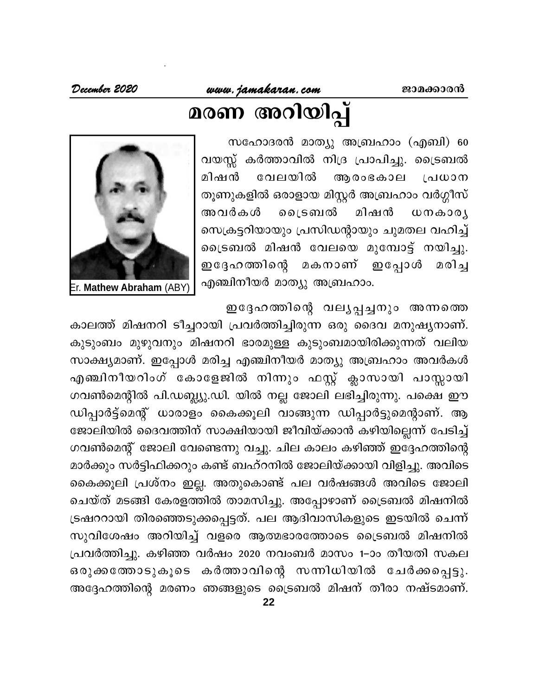# മരണ അറിയിപ്പ്

സഹോദരൻ മാത്യു അബ്രഹാം (എബി) 60 വയസ്സ് കർത്താവിൽ നിദ്ര പ്രാപിച്ചു. ട്രൈബൽ മിഷൻ വേലയിൽ ആരംഭകാല ്രിധാന തൂണുകളിൽ ഒരാളായ മിസ്റ്റർ അബ്രഹാം വർഗ്ഗീസ് ലൈടബൽ മിഷൻ അവർകൾ  $W \cap \omega \cap \omega$ സെക്രട്ടറിയായും പ്രസിഡന്റായും ചുമതല വഹിച്ച് ട്രൈബൽ മിഷൻ വേലയെ മുമ്പോട്ട് നയിച്ചു. മകനാണ് ഇപ്പോൾ മരിച്ച ഇദ്ദേഹത്തിന്റെ എഞ്ചിനീയർ മാത്യു അബ്രഹാം.



Er. Mathew Abraham (ABY)

ഇദ്ദേഹത്തിന്റെ വലൃപ്പച്ചനും അന്നത്തെ

കാലത്ത് മിഷനറി ടീച്ചറായി പ്രവർത്തിച്ചിരുന്ന ഒരു ദൈവ മനുഷ്യനാണ്. കുടുംബം മുഴുവനും മിഷനറി ഭാരമുള്ള കുടുംബമായിരിക്കുന്നത് വലിയ സാക്ഷ്യമാണ്. ഇപ്പോൾ മരിച്ച എഞ്ചിനീയർ മാത്യു അബ്രഹാം അവർകൾ എഞ്ചിനീയറിംഗ് കോളേജിൽ നിന്നും ഫസ്റ്റ് ക്ലാസായി പാസ്സായി ഗവൺമെന്റിൽ പി.ഡബ്ല്യു.ഡി. യിൽ നല്ല ജോലി ലഭിച്ചിരുന്നു. പക്ഷെ ഈ ഡിപ്പാർട്ട്മെന്റ് ധാരാളം കൈക്കൂലി വാങ്ങുന്ന ഡിപ്പാർട്ടുമെന്റാണ്. ആ ജോലിയിൽ ദൈവത്തിന് സാക്ഷിയായി ജീവിയ്ക്കാൻ കഴിയില്ലെന്ന് പേടിച്ച് ഗവൺമെന്റ് ജോലി വേണ്ടെന്നു വച്ചു. ചില കാലം കഴിഞ്ഞ് ഇദ്ദേഹത്തിന്റെ മാർക്കും സർട്ടിഫിക്കറും കണ്ട് ബഹ്റനിൽ ജോലിയ്ക്കായി വിളിച്ചു. അവിടെ കൈക്കൂലി പ്രശ്നം ഇല്ല. അതുകൊണ്ട് പല വർഷങ്ങൾ അവിടെ ജോലി ചെയ്ത് മടങ്ങി കേരളത്തിൽ താമസിച്ചു. അപ്പോഴാണ് ട്രൈബൽ മിഷനിൽ ട്രഷററായി തിരഞ്ഞെടുക്കപ്പെട്ടത്. പല ആദിവാസികളുടെ ഇടയിൽ ചെന്ന് സുവിശേഷം അറിയിച്ച് വളരെ ആത്മഭാരത്തോടെ ട്രൈബൽ മിഷനിൽ പ്രവർത്തിച്ചു. കഴിഞ്ഞ വർഷം 2020 നവംബർ മാസം 1–ാം തീയതി സകല ഒരുക്കത്തോടുകൂടെ കർത്താവിന്റെ സന്നിധിയിൽ ചേർക്കപ്പെട്ടു. അദ്ദേഹത്തിന്റെ മരണം ഞങ്ങളുടെ ട്രൈബൽ മിഷന് തീരാ നഷ്ടമാണ്.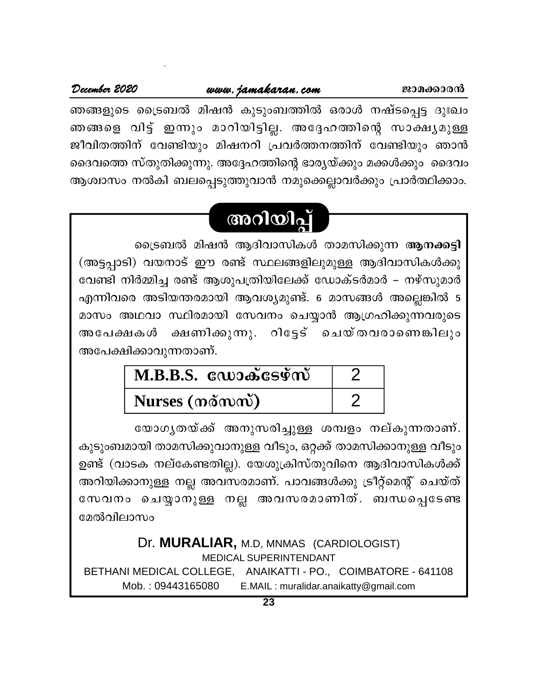## www.jamakaran.com

ഞങ്ങളുടെ ട്രൈബൽ മിഷൻ കുടുംബത്തിൽ ഒരാൾ നഷ്ടപ്പെട്ട ദുഃഖം ഞങ്ങളെ വിട്ട് ഇന്നും മാറിയിട്ടില്ല. അദ്ദേഹത്തിന്റെ സാക്ഷ്യമുള്ള ജീവിതത്തിന് വേണ്ടിയും മിഷനറി പ്രവർത്തനത്തിന് വേണ്ടിയും ഞാൻ ദൈവത്തെ സ്തുതിക്കുന്നു. അദ്ദേഹത്തിന്റെ ഭാര്യയ്ക്കും മക്കൾക്കും ദൈവം ആശ്വാസം നൽകി ബലപ്പെടുത്തുവാൻ നമുക്കെല്ലാവർക്കും പ്രാർത്ഥിക്കാം.

## അറിയിപ്പ്

ട്രൈബൽ മിഷൻ ആദിവാസികൾ താമസിക്കുന്ന ആനക്കട്ടി (അട്ടപ്പാടി) വയനാട് ഈ രണ്ട് സ്ഥലങ്ങളിലുമുള്ള ആദിവാസികൾക്കു വേണ്ടി നിർമ്മിച്ച രണ്ട് ആശുപത്രിയിലേക്ക് ഡോക്ടർമാർ – നഴ്സുമാർ എന്നിവരെ അടിയന്തരമായി ആവശ്യമുണ്ട്. 6 മാസങ്ങൾ അല്ലെങ്കിൽ 5 മാസം അഥവാ സ്ഥിരമായി സേവനം ചെയ്യാൻ ആഗ്രഹിക്കുന്നവരുടെ ക്ഷണിക്കുന്നു. റിട്ടേട് ചെയ്തവരാണെങ്കിലും അപേക്ഷകൾ അപേക്ഷിക്കാവുന്നതാണ്.

| $M.B.B.S.$ $\omega$ ാക്ടേഴ്സ് |  |
|-------------------------------|--|
| Nurses (nomme)                |  |

യോഗൃതയ്ക്ക് അനുസരിച്ചുള്ള ശമ്പളം നല്കുന്നതാണ്. കുടുംബമായി താമസിക്കുവാനുള്ള വീടും, ഒറ്റക്ക് താമസിക്കാനുള്ള വീടും ഉണ്ട് (വാടക നല്കേണ്ടതില്ല). യേശുക്രിസ്തുവിനെ ആദിവാസികൾക്ക് അറിയിക്കാനുള്ള നല്ല അവസരമാണ്. പാവങ്ങൾക്കു ട്രീറ്റ്മെന്റ് ചെയ്ത് സേവനം ചെയ്യാനുള്ള നല്ല അവസരമാണിത്. ബന്ധപ്പെടേണ്ട മേൽവിലാസം

Dr. MURALIAR, M.D. MNMAS (CARDIOLOGIST) **MEDICAL SUPERINTENDANT** BETHANI MEDICAL COLLEGE, ANAIKATTI - PO., COIMBATORE - 641108 Mob.: 09443165080 E.MAIL: muralidar.anaikatty@gmail.com